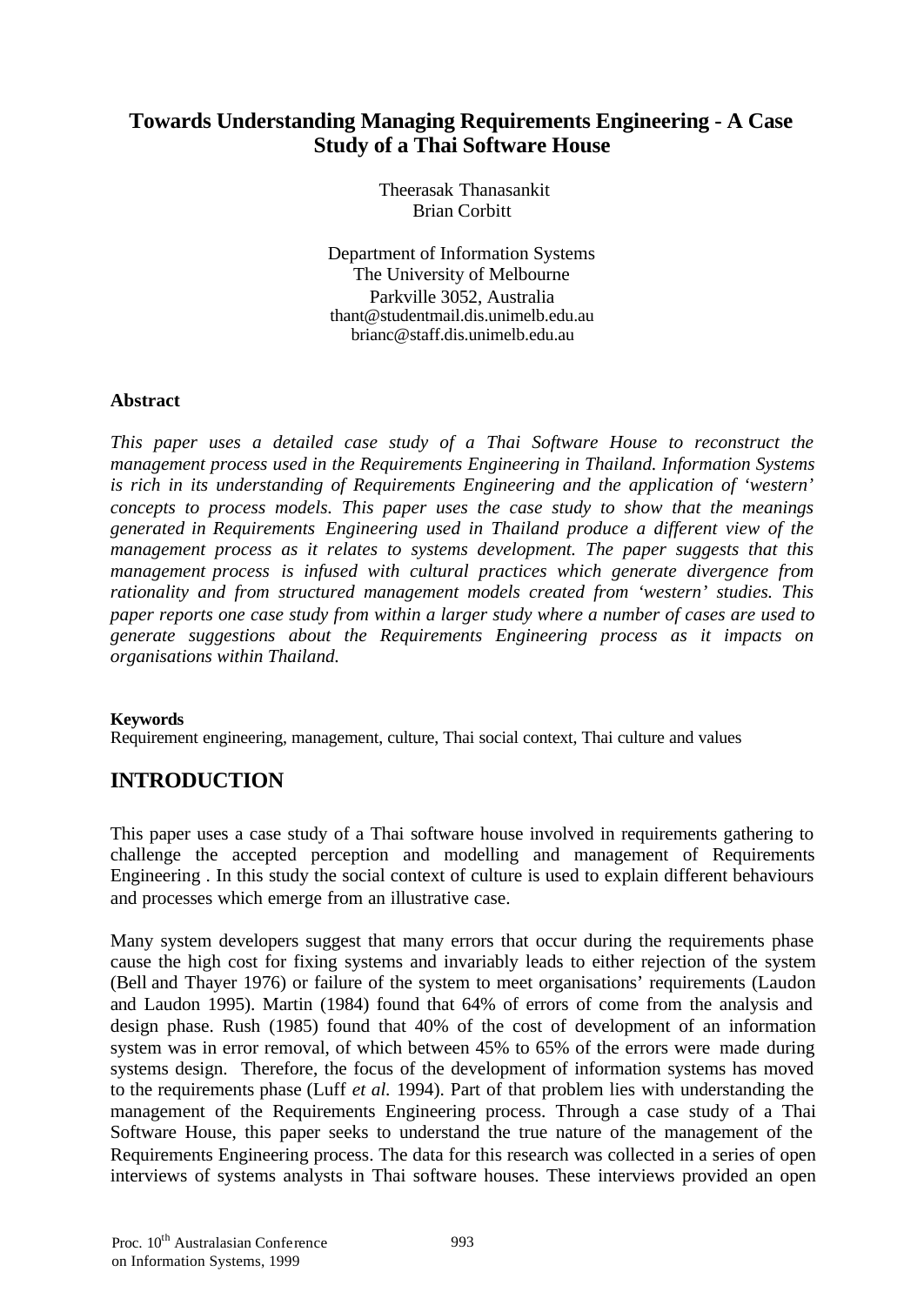# **Towards Understanding Managing Requirements Engineering - A Case Study of a Thai Software House**

Theerasak Thanasankit Brian Corbitt

Department of Information Systems The University of Melbourne Parkville 3052, Australia thant@studentmail.dis.unimelb.edu.au brianc@staff.dis.unimelb.edu.au

### **Abstract**

*This paper uses a detailed case study of a Thai Software House to reconstruct the management process used in the Requirements Engineering in Thailand. Information Systems is rich in its understanding of Requirements Engineering and the application of 'western' concepts to process models. This paper uses the case study to show that the meanings generated in Requirements Engineering used in Thailand produce a different view of the management process as it relates to systems development. The paper suggests that this management process is infused with cultural practices which generate divergence from rationality and from structured management models created from 'western' studies. This paper reports one case study from within a larger study where a number of cases are used to generate suggestions about the Requirements Engineering process as it impacts on organisations within Thailand.*

### **Keywords**

Requirement engineering, management, culture, Thai social context, Thai culture and values

# **INTRODUCTION**

This paper uses a case study of a Thai software house involved in requirements gathering to challenge the accepted perception and modelling and management of Requirements Engineering . In this study the social context of culture is used to explain different behaviours and processes which emerge from an illustrative case.

Many system developers suggest that many errors that occur during the requirements phase cause the high cost for fixing systems and invariably leads to either rejection of the system (Bell and Thayer 1976) or failure of the system to meet organisations' requirements (Laudon and Laudon 1995). Martin (1984) found that 64% of errors of come from the analysis and design phase. Rush (1985) found that 40% of the cost of development of an information system was in error removal, of which between 45% to 65% of the errors were made during systems design. Therefore, the focus of the development of information systems has moved to the requirements phase (Luff *et al.* 1994). Part of that problem lies with understanding the management of the Requirements Engineering process. Through a case study of a Thai Software House, this paper seeks to understand the true nature of the management of the Requirements Engineering process. The data for this research was collected in a series of open interviews of systems analysts in Thai software houses. These interviews provided an open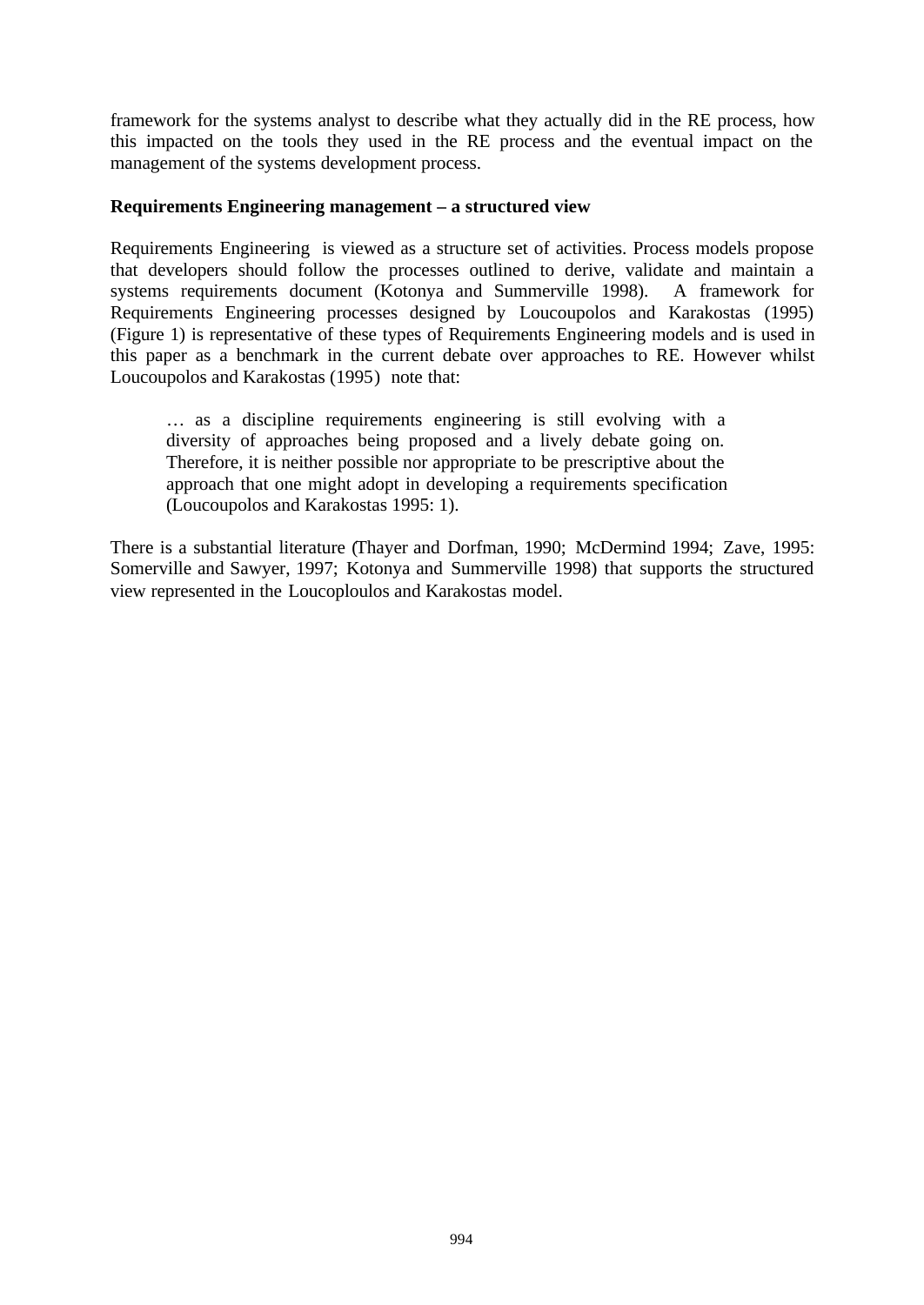framework for the systems analyst to describe what they actually did in the RE process, how this impacted on the tools they used in the RE process and the eventual impact on the management of the systems development process.

#### **Requirements Engineering management – a structured view**

Requirements Engineering is viewed as a structure set of activities. Process models propose that developers should follow the processes outlined to derive, validate and maintain a systems requirements document (Kotonya and Summerville 1998). A framework for Requirements Engineering processes designed by Loucoupolos and Karakostas (1995) (Figure 1) is representative of these types of Requirements Engineering models and is used in this paper as a benchmark in the current debate over approaches to RE. However whilst Loucoupolos and Karakostas (1995) note that:

… as a discipline requirements engineering is still evolving with a diversity of approaches being proposed and a lively debate going on. Therefore, it is neither possible nor appropriate to be prescriptive about the approach that one might adopt in developing a requirements specification (Loucoupolos and Karakostas 1995: 1).

There is a substantial literature (Thayer and Dorfman, 1990; McDermind 1994; Zave, 1995: Somerville and Sawyer, 1997; Kotonya and Summerville 1998) that supports the structured view represented in the Loucoploulos and Karakostas model.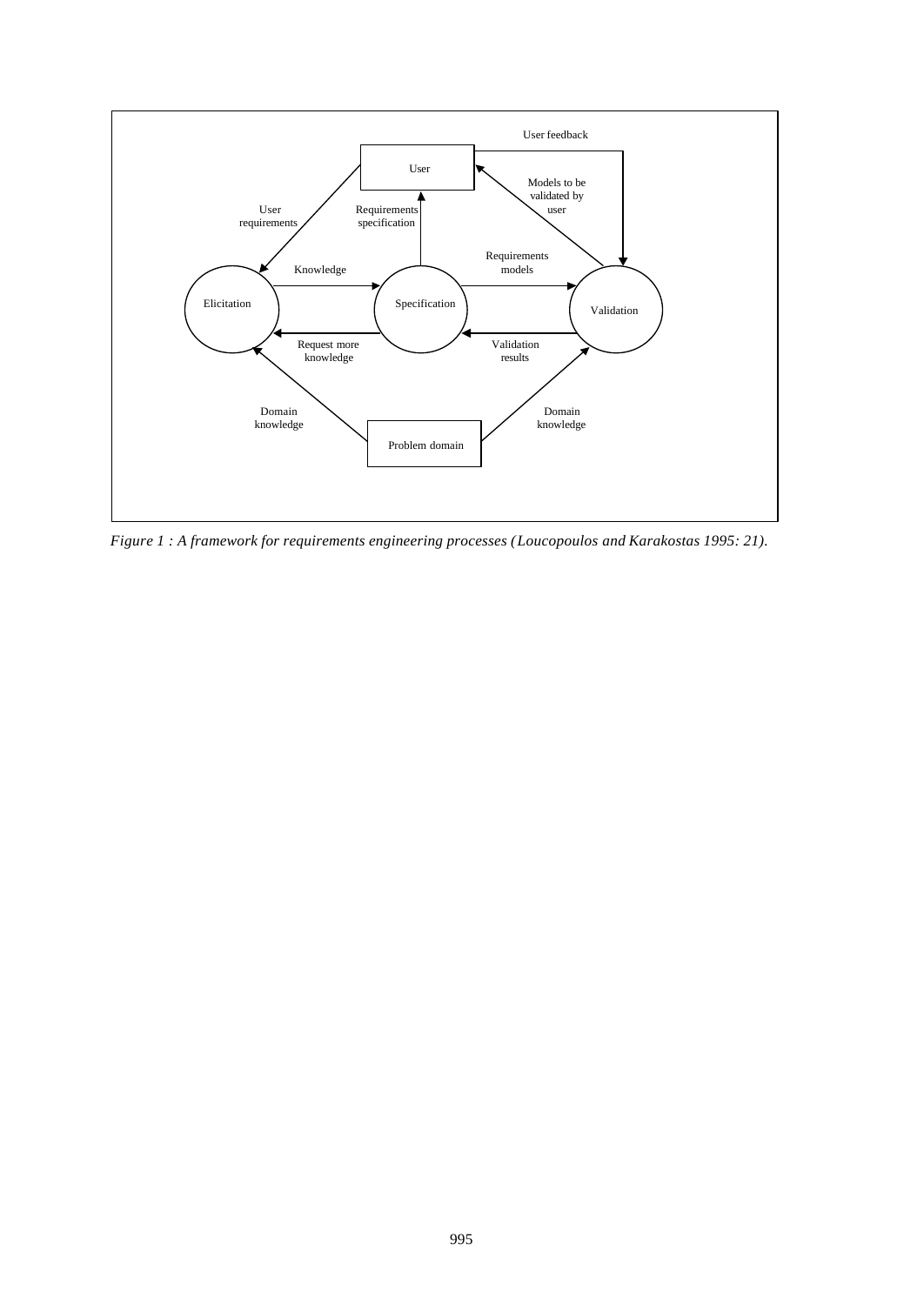

*Figure 1 : A framework for requirements engineering processes (Loucopoulos and Karakostas 1995: 21).*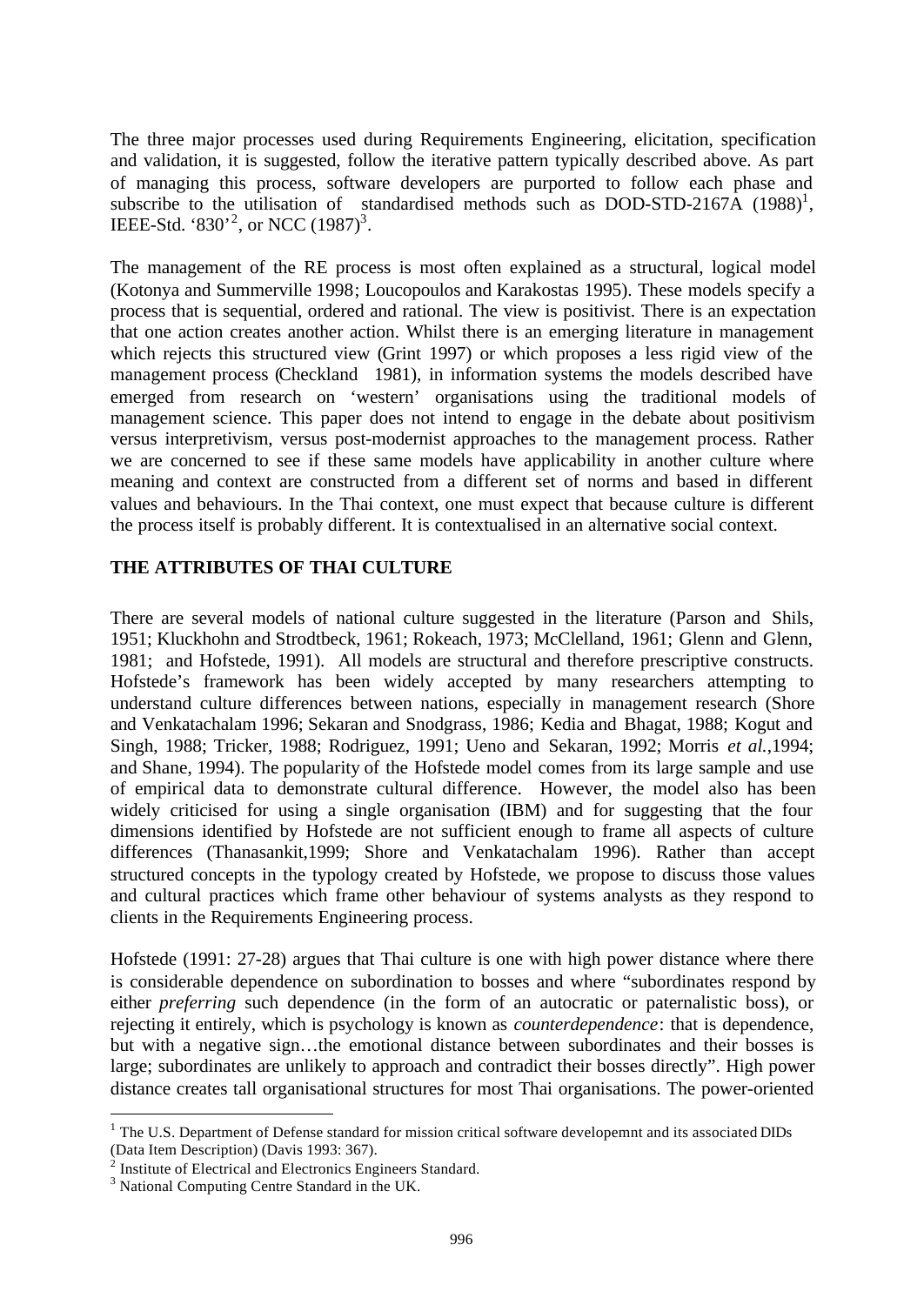The three major processes used during Requirements Engineering, elicitation, specification and validation, it is suggested, follow the iterative pattern typically described above. As part of managing this process, software developers are purported to follow each phase and subscribe to the utilisation of standardised methods such as DOD-STD-2167A  $(1988)^1$ , IEEE-Std. '830'<sup>2</sup>, or NCC  $(1987)^3$ .

The management of the RE process is most often explained as a structural, logical model (Kotonya and Summerville 1998; Loucopoulos and Karakostas 1995). These models specify a process that is sequential, ordered and rational. The view is positivist. There is an expectation that one action creates another action. Whilst there is an emerging literature in management which rejects this structured view (Grint 1997) or which proposes a less rigid view of the management process (Checkland 1981), in information systems the models described have emerged from research on 'western' organisations using the traditional models of management science. This paper does not intend to engage in the debate about positivism versus interpretivism, versus post-modernist approaches to the management process. Rather we are concerned to see if these same models have applicability in another culture where meaning and context are constructed from a different set of norms and based in different values and behaviours. In the Thai context, one must expect that because culture is different the process itself is probably different. It is contextualised in an alternative social context.

### **THE ATTRIBUTES OF THAI CULTURE**

There are several models of national culture suggested in the literature (Parson and Shils, 1951; Kluckhohn and Strodtbeck, 1961; Rokeach, 1973; McClelland, 1961; Glenn and Glenn, 1981; and Hofstede, 1991). All models are structural and therefore prescriptive constructs. Hofstede's framework has been widely accepted by many researchers attempting to understand culture differences between nations, especially in management research (Shore and Venkatachalam 1996; Sekaran and Snodgrass, 1986; Kedia and Bhagat, 1988; Kogut and Singh, 1988; Tricker, 1988; Rodriguez, 1991; Ueno and Sekaran, 1992; Morris *et al.*,1994; and Shane, 1994). The popularity of the Hofstede model comes from its large sample and use of empirical data to demonstrate cultural difference. However, the model also has been widely criticised for using a single organisation (IBM) and for suggesting that the four dimensions identified by Hofstede are not sufficient enough to frame all aspects of culture differences (Thanasankit,1999; Shore and Venkatachalam 1996). Rather than accept structured concepts in the typology created by Hofstede, we propose to discuss those values and cultural practices which frame other behaviour of systems analysts as they respond to clients in the Requirements Engineering process.

Hofstede (1991: 27-28) argues that Thai culture is one with high power distance where there is considerable dependence on subordination to bosses and where "subordinates respond by either *preferring* such dependence (in the form of an autocratic or paternalistic boss), or rejecting it entirely, which is psychology is known as *counterdependence*: that is dependence, but with a negative sign…the emotional distance between subordinates and their bosses is large; subordinates are unlikely to approach and contradict their bosses directly". High power distance creates tall organisational structures for most Thai organisations. The power-oriented

l

 $1$  The U.S. Department of Defense standard for mission critical software developemnt and its associated DIDs (Data Item Description) (Davis 1993: 367).

<sup>&</sup>lt;sup>2</sup> Institute of Electrical and Electronics Engineers Standard.

<sup>3</sup> National Computing Centre Standard in the UK.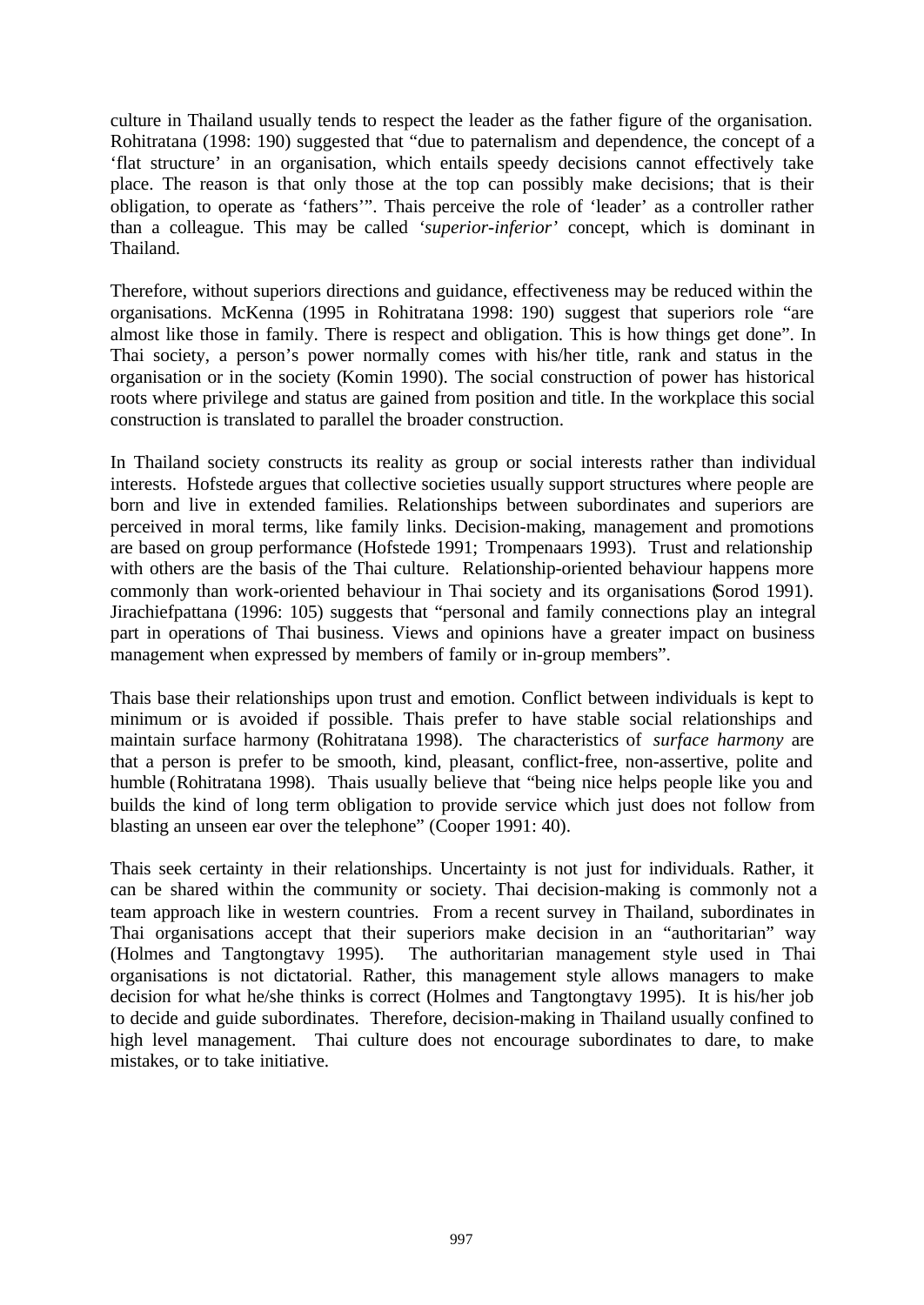culture in Thailand usually tends to respect the leader as the father figure of the organisation. Rohitratana (1998: 190) suggested that "due to paternalism and dependence, the concept of a 'flat structure' in an organisation, which entails speedy decisions cannot effectively take place. The reason is that only those at the top can possibly make decisions; that is their obligation, to operate as 'fathers'". Thais perceive the role of 'leader' as a controller rather than a colleague. This may be called *'superior-inferior'* concept, which is dominant in Thailand.

Therefore, without superiors directions and guidance, effectiveness may be reduced within the organisations. McKenna (1995 in Rohitratana 1998: 190) suggest that superiors role "are almost like those in family. There is respect and obligation. This is how things get done". In Thai society, a person's power normally comes with his/her title, rank and status in the organisation or in the society (Komin 1990). The social construction of power has historical roots where privilege and status are gained from position and title. In the workplace this social construction is translated to parallel the broader construction.

In Thailand society constructs its reality as group or social interests rather than individual interests. Hofstede argues that collective societies usually support structures where people are born and live in extended families. Relationships between subordinates and superiors are perceived in moral terms, like family links. Decision-making, management and promotions are based on group performance (Hofstede 1991; Trompenaars 1993). Trust and relationship with others are the basis of the Thai culture. Relationship-oriented behaviour happens more commonly than work-oriented behaviour in Thai society and its organisations (Sorod 1991). Jirachiefpattana (1996: 105) suggests that "personal and family connections play an integral part in operations of Thai business. Views and opinions have a greater impact on business management when expressed by members of family or in-group members".

Thais base their relationships upon trust and emotion. Conflict between individuals is kept to minimum or is avoided if possible. Thais prefer to have stable social relationships and maintain surface harmony (Rohitratana 1998). The characteristics of *surface harmony* are that a person is prefer to be smooth, kind, pleasant, conflict-free, non-assertive, polite and humble (Rohitratana 1998). Thais usually believe that "being nice helps people like you and builds the kind of long term obligation to provide service which just does not follow from blasting an unseen ear over the telephone" (Cooper 1991: 40).

Thais seek certainty in their relationships. Uncertainty is not just for individuals. Rather, it can be shared within the community or society. Thai decision-making is commonly not a team approach like in western countries. From a recent survey in Thailand, subordinates in Thai organisations accept that their superiors make decision in an "authoritarian" way (Holmes and Tangtongtavy 1995). The authoritarian management style used in Thai organisations is not dictatorial. Rather, this management style allows managers to make decision for what he/she thinks is correct (Holmes and Tangtongtavy 1995). It is his/her job to decide and guide subordinates. Therefore, decision-making in Thailand usually confined to high level management. Thai culture does not encourage subordinates to dare, to make mistakes, or to take initiative.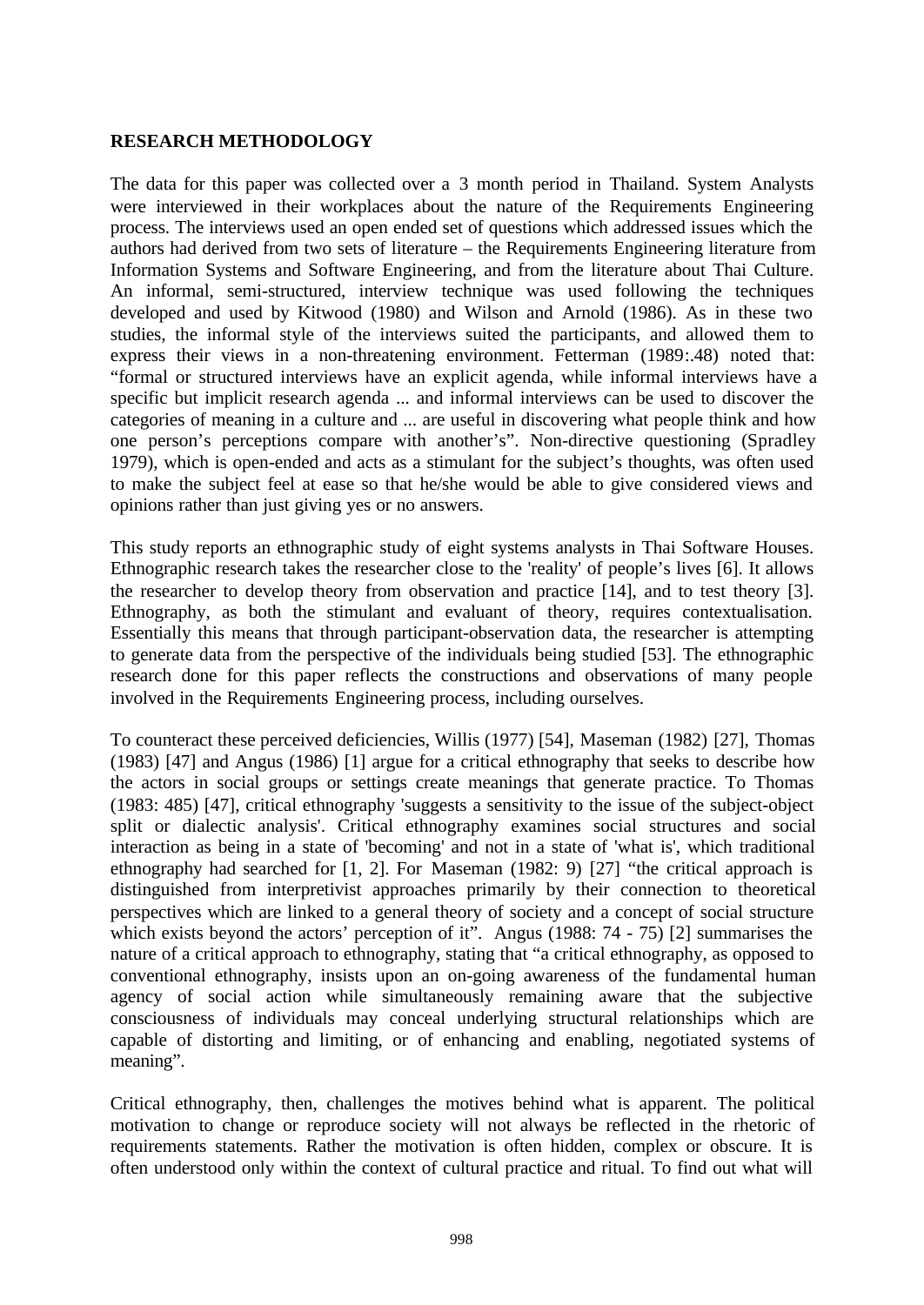#### **RESEARCH METHODOLOGY**

The data for this paper was collected over a 3 month period in Thailand. System Analysts were interviewed in their workplaces about the nature of the Requirements Engineering process. The interviews used an open ended set of questions which addressed issues which the authors had derived from two sets of literature – the Requirements Engineering literature from Information Systems and Software Engineering, and from the literature about Thai Culture. An informal, semi-structured, interview technique was used following the techniques developed and used by Kitwood (1980) and Wilson and Arnold (1986). As in these two studies, the informal style of the interviews suited the participants, and allowed them to express their views in a non-threatening environment. Fetterman (1989:.48) noted that: "formal or structured interviews have an explicit agenda, while informal interviews have a specific but implicit research agenda ... and informal interviews can be used to discover the categories of meaning in a culture and ... are useful in discovering what people think and how one person's perceptions compare with another's". Non-directive questioning (Spradley 1979), which is open-ended and acts as a stimulant for the subject's thoughts, was often used to make the subject feel at ease so that he/she would be able to give considered views and opinions rather than just giving yes or no answers.

This study reports an ethnographic study of eight systems analysts in Thai Software Houses. Ethnographic research takes the researcher close to the 'reality' of people's lives [6]. It allows the researcher to develop theory from observation and practice [14], and to test theory [3]. Ethnography, as both the stimulant and evaluant of theory, requires contextualisation. Essentially this means that through participant-observation data, the researcher is attempting to generate data from the perspective of the individuals being studied [53]. The ethnographic research done for this paper reflects the constructions and observations of many people involved in the Requirements Engineering process, including ourselves.

To counteract these perceived deficiencies, Willis (1977) [54], Maseman (1982) [27], Thomas (1983) [47] and Angus (1986) [1] argue for a critical ethnography that seeks to describe how the actors in social groups or settings create meanings that generate practice. To Thomas (1983: 485) [47], critical ethnography 'suggests a sensitivity to the issue of the subject-object split or dialectic analysis'. Critical ethnography examines social structures and social interaction as being in a state of 'becoming' and not in a state of 'what is', which traditional ethnography had searched for [1, 2]. For Maseman (1982: 9) [27] "the critical approach is distinguished from interpretivist approaches primarily by their connection to theoretical perspectives which are linked to a general theory of society and a concept of social structure which exists beyond the actors' perception of it". Angus (1988: 74 - 75) [2] summarises the nature of a critical approach to ethnography, stating that "a critical ethnography, as opposed to conventional ethnography, insists upon an on-going awareness of the fundamental human agency of social action while simultaneously remaining aware that the subjective consciousness of individuals may conceal underlying structural relationships which are capable of distorting and limiting, or of enhancing and enabling, negotiated systems of meaning".

Critical ethnography, then, challenges the motives behind what is apparent. The political motivation to change or reproduce society will not always be reflected in the rhetoric of requirements statements. Rather the motivation is often hidden, complex or obscure. It is often understood only within the context of cultural practice and ritual. To find out what will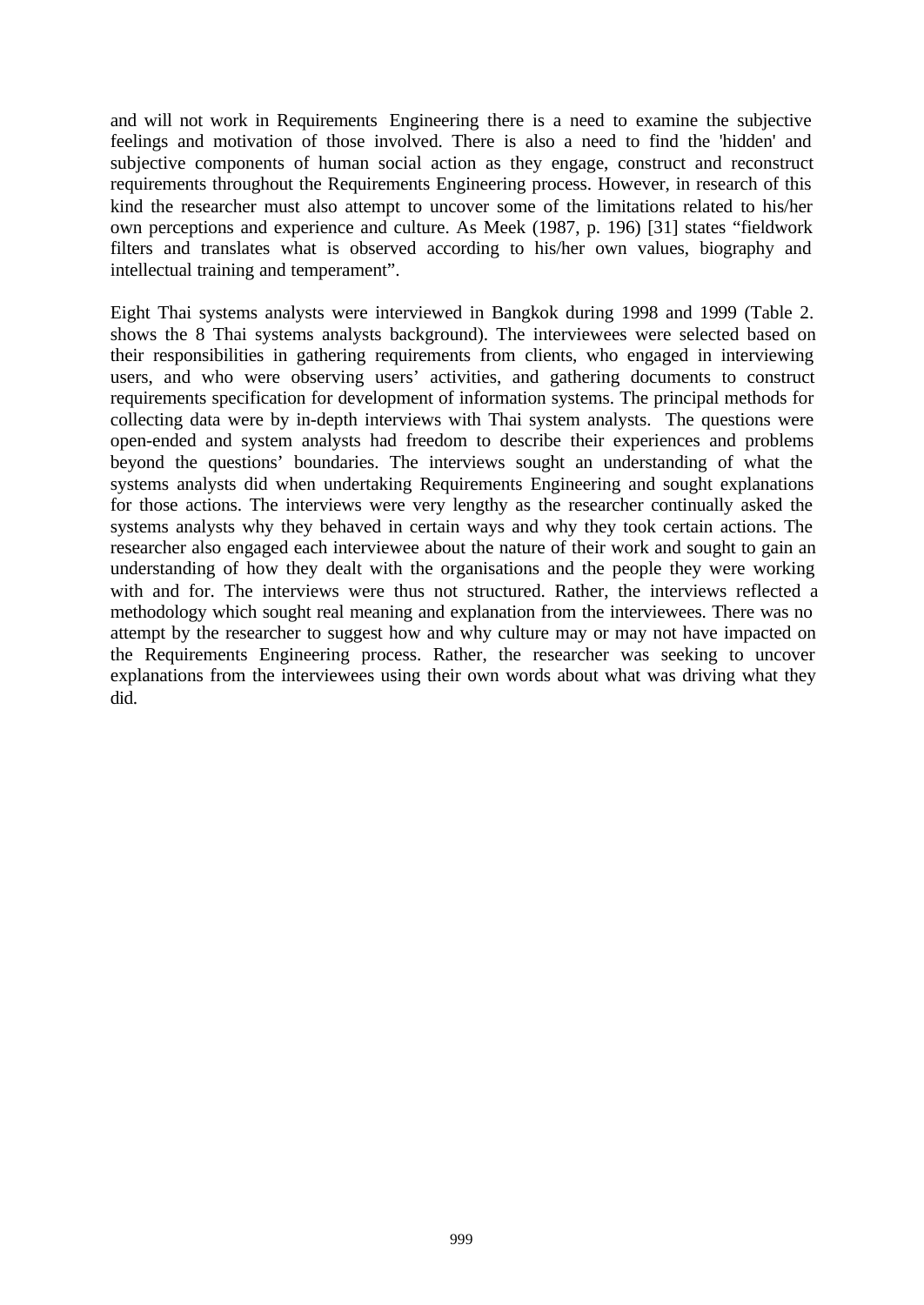and will not work in Requirements Engineering there is a need to examine the subjective feelings and motivation of those involved. There is also a need to find the 'hidden' and subjective components of human social action as they engage, construct and reconstruct requirements throughout the Requirements Engineering process. However, in research of this kind the researcher must also attempt to uncover some of the limitations related to his/her own perceptions and experience and culture. As Meek (1987, p. 196) [31] states "fieldwork filters and translates what is observed according to his/her own values, biography and intellectual training and temperament".

Eight Thai systems analysts were interviewed in Bangkok during 1998 and 1999 (Table 2. shows the 8 Thai systems analysts background). The interviewees were selected based on their responsibilities in gathering requirements from clients, who engaged in interviewing users, and who were observing users' activities, and gathering documents to construct requirements specification for development of information systems. The principal methods for collecting data were by in-depth interviews with Thai system analysts. The questions were open-ended and system analysts had freedom to describe their experiences and problems beyond the questions' boundaries. The interviews sought an understanding of what the systems analysts did when undertaking Requirements Engineering and sought explanations for those actions. The interviews were very lengthy as the researcher continually asked the systems analysts why they behaved in certain ways and why they took certain actions. The researcher also engaged each interviewee about the nature of their work and sought to gain an understanding of how they dealt with the organisations and the people they were working with and for. The interviews were thus not structured. Rather, the interviews reflected a methodology which sought real meaning and explanation from the interviewees. There was no attempt by the researcher to suggest how and why culture may or may not have impacted on the Requirements Engineering process. Rather, the researcher was seeking to uncover explanations from the interviewees using their own words about what was driving what they did.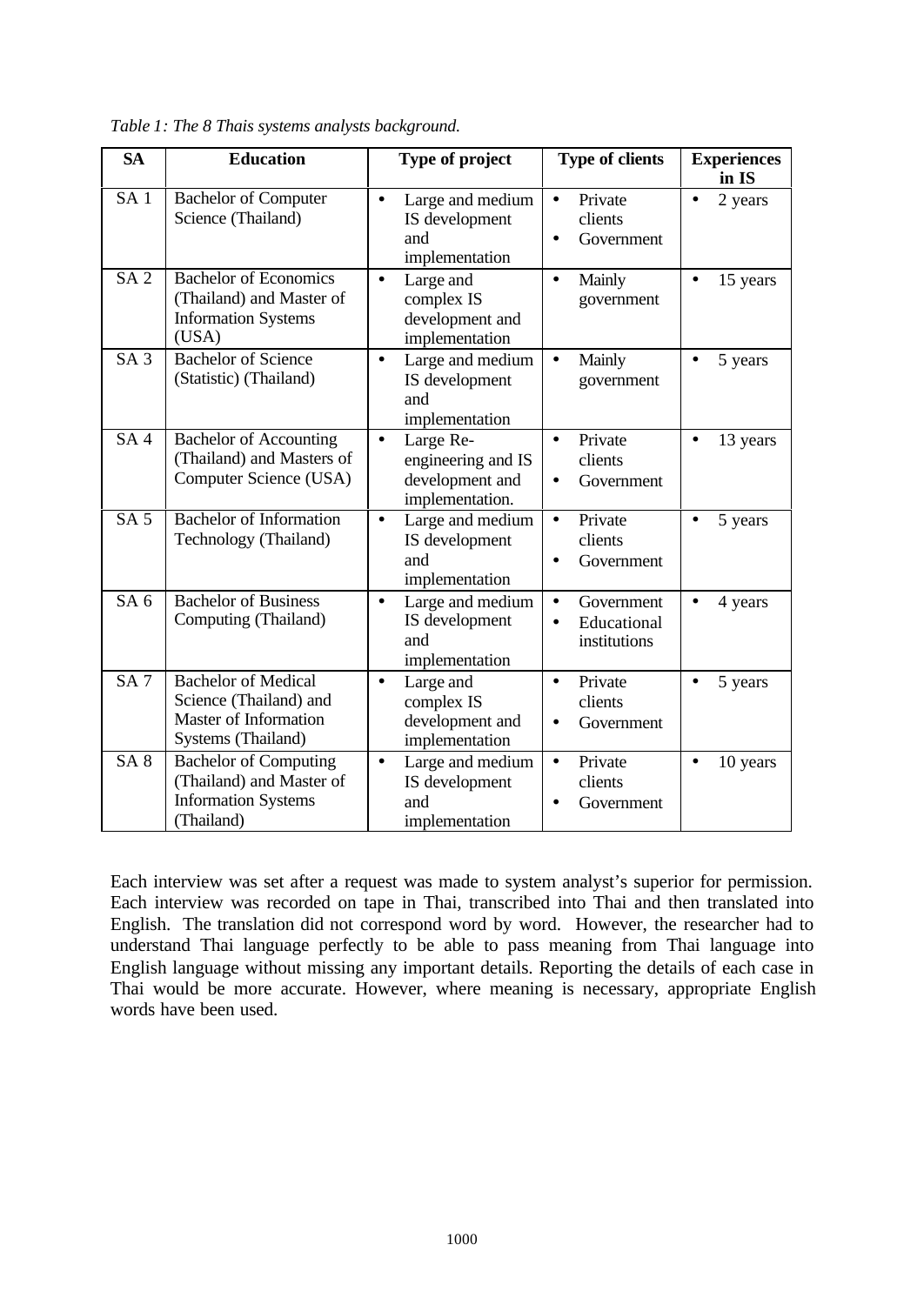| <b>SA</b>       | <b>Education</b>                                                                                     | Type of project                                                                    | <b>Type of clients</b>                                              | <b>Experiences</b><br>in IS |
|-----------------|------------------------------------------------------------------------------------------------------|------------------------------------------------------------------------------------|---------------------------------------------------------------------|-----------------------------|
| SA <sub>1</sub> | <b>Bachelor of Computer</b><br>Science (Thailand)                                                    | Large and medium<br>$\bullet$<br>IS development<br>and<br>implementation           | Private<br>$\bullet$<br>clients<br>Government<br>$\bullet$          | 2 years<br>$\bullet$        |
| SA <sub>2</sub> | <b>Bachelor of Economics</b><br>(Thailand) and Master of<br><b>Information Systems</b><br>(USA)      | Large and<br>$\bullet$<br>complex IS<br>development and<br>implementation          | Mainly<br>$\bullet$<br>government                                   | 15 years<br>$\bullet$       |
| SA <sub>3</sub> | <b>Bachelor of Science</b><br>(Statistic) (Thailand)                                                 | Large and medium<br>$\bullet$<br>IS development<br>and<br>implementation           | Mainly<br>$\bullet$<br>government                                   | 5 years<br>$\bullet$        |
| SA <sub>4</sub> | <b>Bachelor of Accounting</b><br>(Thailand) and Masters of<br>Computer Science (USA)                 | Large Re-<br>$\bullet$<br>engineering and IS<br>development and<br>implementation. | Private<br>$\bullet$<br>clients<br>Government<br>$\bullet$          | 13 years<br>$\bullet$       |
| SA <sub>5</sub> | <b>Bachelor</b> of Information<br>Technology (Thailand)                                              | Large and medium<br>$\bullet$<br>IS development<br>and<br>implementation           | Private<br>$\bullet$<br>clients<br>Government                       | 5 years<br>$\bullet$        |
| SA <sub>6</sub> | <b>Bachelor of Business</b><br>Computing (Thailand)                                                  | Large and medium<br>$\bullet$<br>IS development<br>and<br>implementation           | Government<br>$\bullet$<br>Educational<br>$\bullet$<br>institutions | 4 years<br>$\bullet$        |
| SA <sub>7</sub> | <b>Bachelor</b> of Medical<br>Science (Thailand) and<br>Master of Information<br>Systems (Thailand)  | Large and<br>$\bullet$<br>complex IS<br>development and<br>implementation          | Private<br>$\bullet$<br>clients<br>Government<br>$\bullet$          | 5 years<br>$\bullet$        |
| SA <sub>8</sub> | <b>Bachelor of Computing</b><br>(Thailand) and Master of<br><b>Information Systems</b><br>(Thailand) | Large and medium<br>$\bullet$<br>IS development<br>and<br>implementation           | Private<br>$\bullet$<br>clients<br>Government                       | 10 years<br>$\bullet$       |

*Table 1: The 8 Thais systems analysts background.*

Each interview was set after a request was made to system analyst's superior for permission. Each interview was recorded on tape in Thai, transcribed into Thai and then translated into English. The translation did not correspond word by word. However, the researcher had to understand Thai language perfectly to be able to pass meaning from Thai language into English language without missing any important details. Reporting the details of each case in Thai would be more accurate. However, where meaning is necessary, appropriate English words have been used.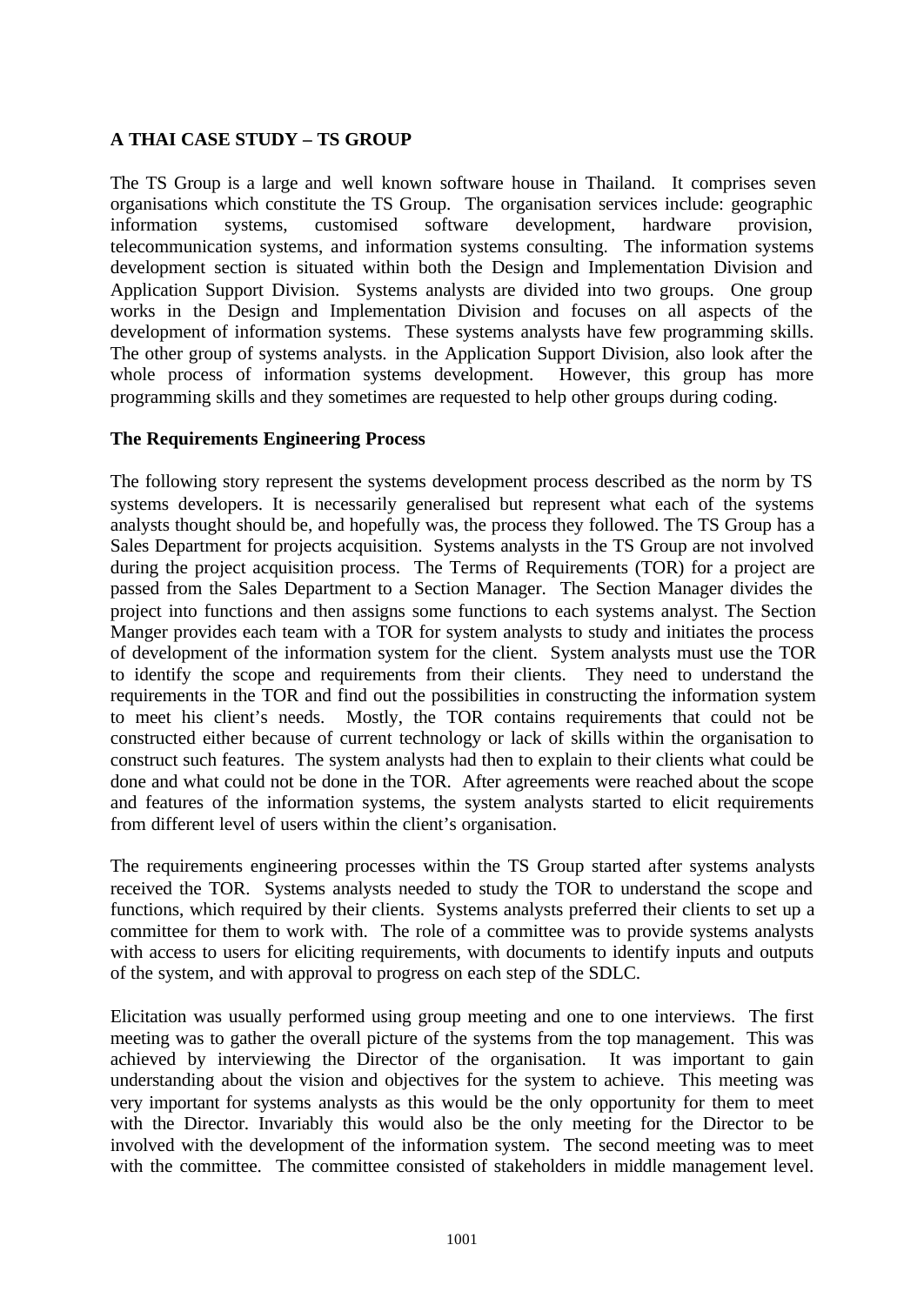### **A THAI CASE STUDY – TS GROUP**

The TS Group is a large and well known software house in Thailand. It comprises seven organisations which constitute the TS Group. The organisation services include: geographic information systems, customised software development, hardware provision, telecommunication systems, and information systems consulting. The information systems development section is situated within both the Design and Implementation Division and Application Support Division. Systems analysts are divided into two groups. One group works in the Design and Implementation Division and focuses on all aspects of the development of information systems. These systems analysts have few programming skills. The other group of systems analysts. in the Application Support Division, also look after the whole process of information systems development. However, this group has more programming skills and they sometimes are requested to help other groups during coding.

#### **The Requirements Engineering Process**

The following story represent the systems development process described as the norm by TS systems developers. It is necessarily generalised but represent what each of the systems analysts thought should be, and hopefully was, the process they followed. The TS Group has a Sales Department for projects acquisition. Systems analysts in the TS Group are not involved during the project acquisition process. The Terms of Requirements (TOR) for a project are passed from the Sales Department to a Section Manager. The Section Manager divides the project into functions and then assigns some functions to each systems analyst. The Section Manger provides each team with a TOR for system analysts to study and initiates the process of development of the information system for the client. System analysts must use the TOR to identify the scope and requirements from their clients. They need to understand the requirements in the TOR and find out the possibilities in constructing the information system to meet his client's needs. Mostly, the TOR contains requirements that could not be constructed either because of current technology or lack of skills within the organisation to construct such features. The system analysts had then to explain to their clients what could be done and what could not be done in the TOR. After agreements were reached about the scope and features of the information systems, the system analysts started to elicit requirements from different level of users within the client's organisation.

The requirements engineering processes within the TS Group started after systems analysts received the TOR. Systems analysts needed to study the TOR to understand the scope and functions, which required by their clients. Systems analysts preferred their clients to set up a committee for them to work with. The role of a committee was to provide systems analysts with access to users for eliciting requirements, with documents to identify inputs and outputs of the system, and with approval to progress on each step of the SDLC.

Elicitation was usually performed using group meeting and one to one interviews. The first meeting was to gather the overall picture of the systems from the top management. This was achieved by interviewing the Director of the organisation. It was important to gain understanding about the vision and objectives for the system to achieve. This meeting was very important for systems analysts as this would be the only opportunity for them to meet with the Director. Invariably this would also be the only meeting for the Director to be involved with the development of the information system. The second meeting was to meet with the committee. The committee consisted of stakeholders in middle management level.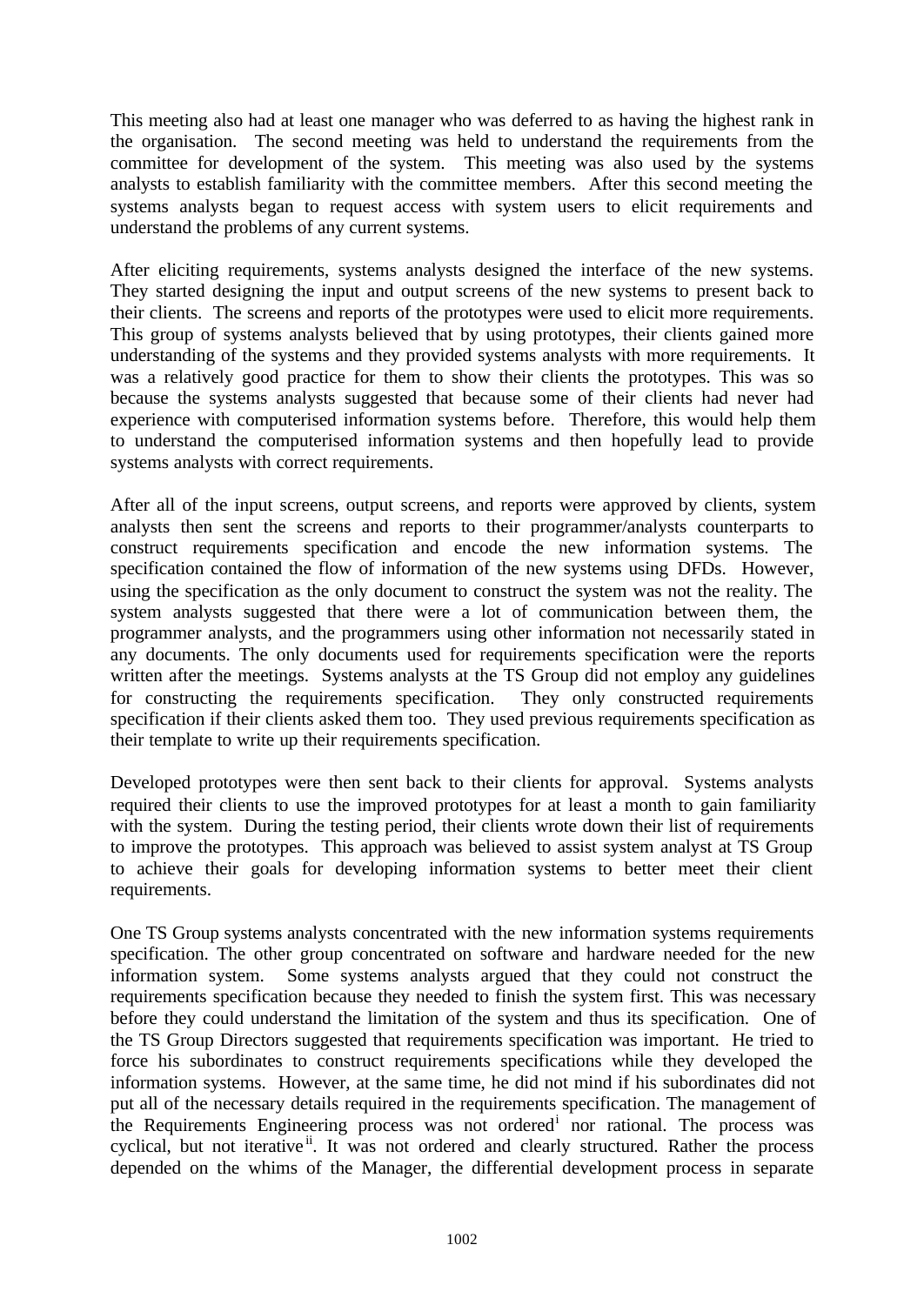This meeting also had at least one manager who was deferred to as having the highest rank in the organisation. The second meeting was held to understand the requirements from the committee for development of the system. This meeting was also used by the systems analysts to establish familiarity with the committee members. After this second meeting the systems analysts began to request access with system users to elicit requirements and understand the problems of any current systems.

After eliciting requirements, systems analysts designed the interface of the new systems. They started designing the input and output screens of the new systems to present back to their clients. The screens and reports of the prototypes were used to elicit more requirements. This group of systems analysts believed that by using prototypes, their clients gained more understanding of the systems and they provided systems analysts with more requirements. It was a relatively good practice for them to show their clients the prototypes. This was so because the systems analysts suggested that because some of their clients had never had experience with computerised information systems before. Therefore, this would help them to understand the computerised information systems and then hopefully lead to provide systems analysts with correct requirements.

After all of the input screens, output screens, and reports were approved by clients, system analysts then sent the screens and reports to their programmer/analysts counterparts to construct requirements specification and encode the new information systems. The specification contained the flow of information of the new systems using DFDs. However, using the specification as the only document to construct the system was not the reality. The system analysts suggested that there were a lot of communication between them, the programmer analysts, and the programmers using other information not necessarily stated in any documents. The only documents used for requirements specification were the reports written after the meetings. Systems analysts at the TS Group did not employ any guidelines for constructing the requirements specification. They only constructed requirements specification if their clients asked them too. They used previous requirements specification as their template to write up their requirements specification.

Developed prototypes were then sent back to their clients for approval. Systems analysts required their clients to use the improved prototypes for at least a month to gain familiarity with the system. During the testing period, their clients wrote down their list of requirements to improve the prototypes. This approach was believed to assist system analyst at TS Group to achieve their goals for developing information systems to better meet their client requirements.

One TS Group systems analysts concentrated with the new information systems requirements specification. The other group concentrated on software and hardware needed for the new information system. Some systems analysts argued that they could not construct the requirements specification because they needed to finish the system first. This was necessary before they could understand the limitation of the system and thus its specification. One of the TS Group Directors suggested that requirements specification was important. He tried to force his subordinates to construct requirements specifications while they developed the information systems. However, at the same time, he did not mind if his subordinates did not put all of the necessary details required in the requirements specification. The management of the Requirements Engineering process was not ordered<sup>i</sup> nor rational. The process was cyclical, but not iterative <sup>ii</sup>. It was not ordered and clearly structured. Rather the process depended on the whims of the Manager, the differential development process in separate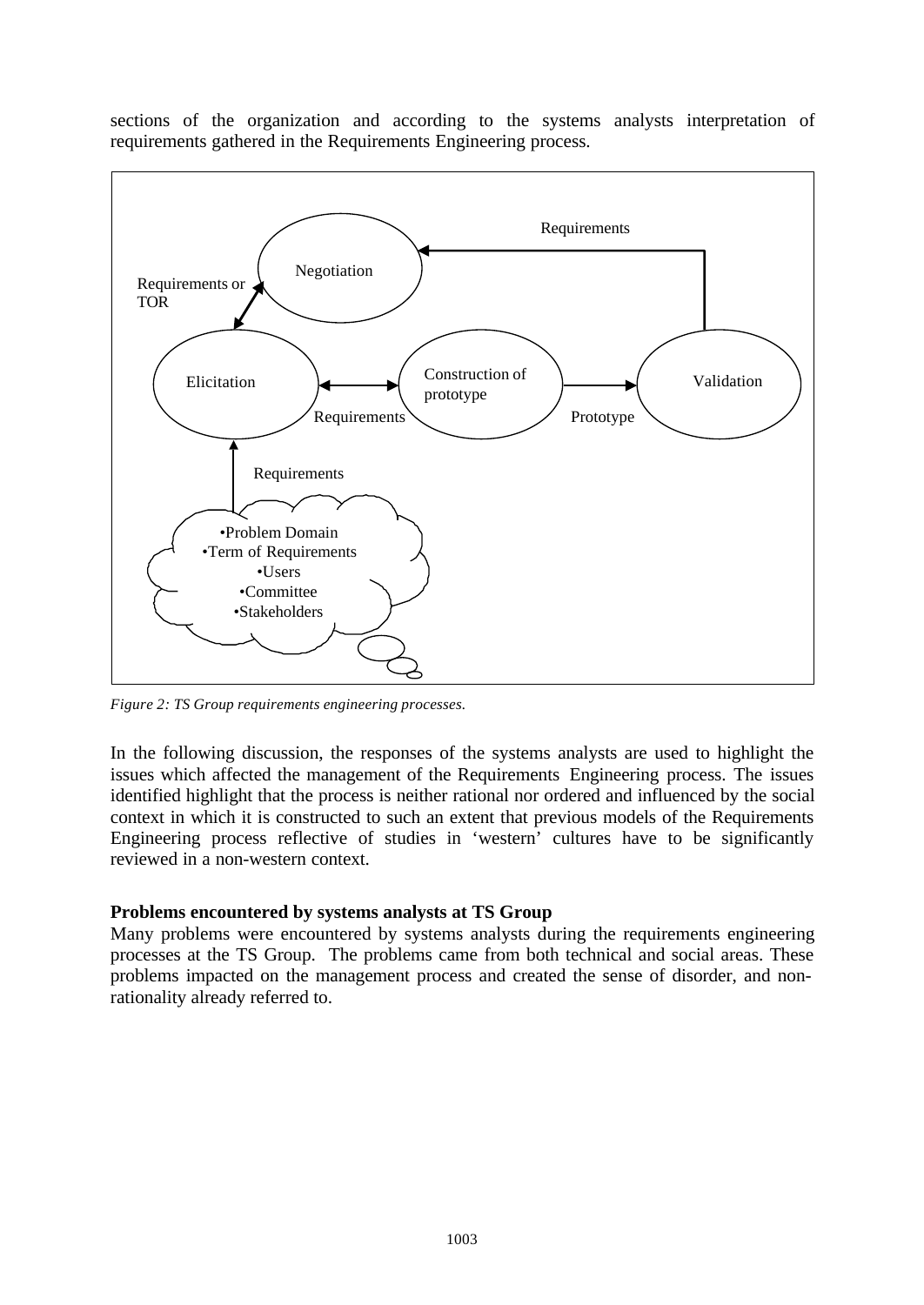sections of the organization and according to the systems analysts interpretation of requirements gathered in the Requirements Engineering process.



*Figure 2: TS Group requirements engineering processes.*

In the following discussion, the responses of the systems analysts are used to highlight the issues which affected the management of the Requirements Engineering process. The issues identified highlight that the process is neither rational nor ordered and influenced by the social context in which it is constructed to such an extent that previous models of the Requirements Engineering process reflective of studies in 'western' cultures have to be significantly reviewed in a non-western context.

#### **Problems encountered by systems analysts at TS Group**

Many problems were encountered by systems analysts during the requirements engineering processes at the TS Group. The problems came from both technical and social areas. These problems impacted on the management process and created the sense of disorder, and nonrationality already referred to.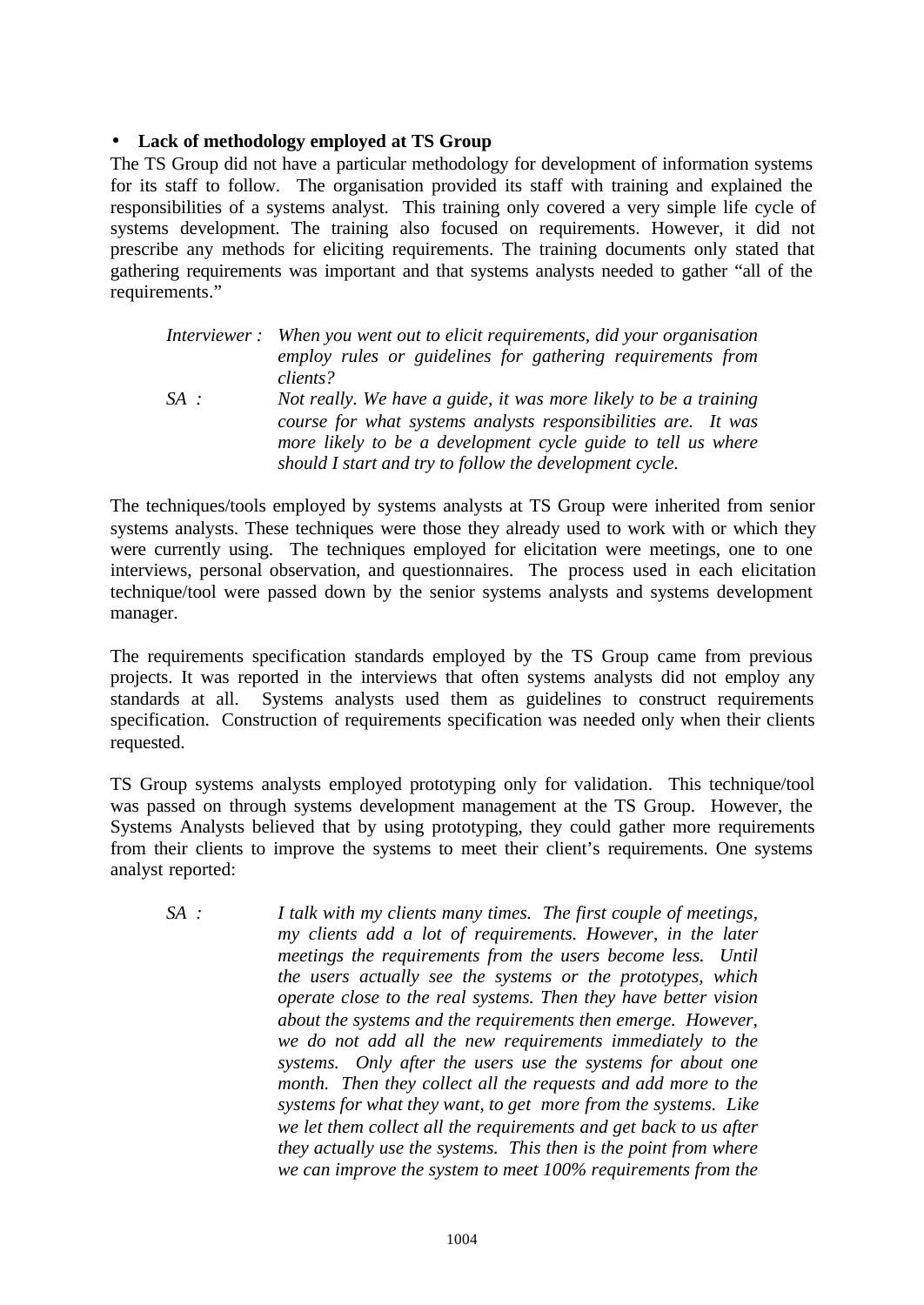#### • **Lack of methodology employed at TS Group**

The TS Group did not have a particular methodology for development of information systems for its staff to follow. The organisation provided its staff with training and explained the responsibilities of a systems analyst. This training only covered a very simple life cycle of systems development. The training also focused on requirements. However, it did not prescribe any methods for eliciting requirements. The training documents only stated that gathering requirements was important and that systems analysts needed to gather "all of the requirements."

|        | Interviewer: When you went out to elicit requirements, did your organisation<br>employ rules or guidelines for gathering requirements from<br>clients? |
|--------|--------------------------------------------------------------------------------------------------------------------------------------------------------|
| $SA$ : | Not really. We have a guide, it was more likely to be a training<br>course for what systems analysts responsibilities are. It was                      |
|        | more likely to be a development cycle guide to tell us where<br>should I start and try to follow the development cycle.                                |

The techniques/tools employed by systems analysts at TS Group were inherited from senior systems analysts. These techniques were those they already used to work with or which they were currently using. The techniques employed for elicitation were meetings, one to one interviews, personal observation, and questionnaires. The process used in each elicitation technique/tool were passed down by the senior systems analysts and systems development manager.

The requirements specification standards employed by the TS Group came from previous projects. It was reported in the interviews that often systems analysts did not employ any standards at all. Systems analysts used them as guidelines to construct requirements specification. Construction of requirements specification was needed only when their clients requested.

TS Group systems analysts employed prototyping only for validation. This technique/tool was passed on through systems development management at the TS Group. However, the Systems Analysts believed that by using prototyping, they could gather more requirements from their clients to improve the systems to meet their client's requirements. One systems analyst reported:

*SA : I talk with my clients many times. The first couple of meetings, my clients add a lot of requirements. However, in the later meetings the requirements from the users become less. Until the users actually see the systems or the prototypes, which operate close to the real systems. Then they have better vision about the systems and the requirements then emerge. However, we do not add all the new requirements immediately to the systems. Only after the users use the systems for about one month. Then they collect all the requests and add more to the systems for what they want, to get more from the systems. Like we let them collect all the requirements and get back to us after they actually use the systems. This then is the point from where we can improve the system to meet 100% requirements from the*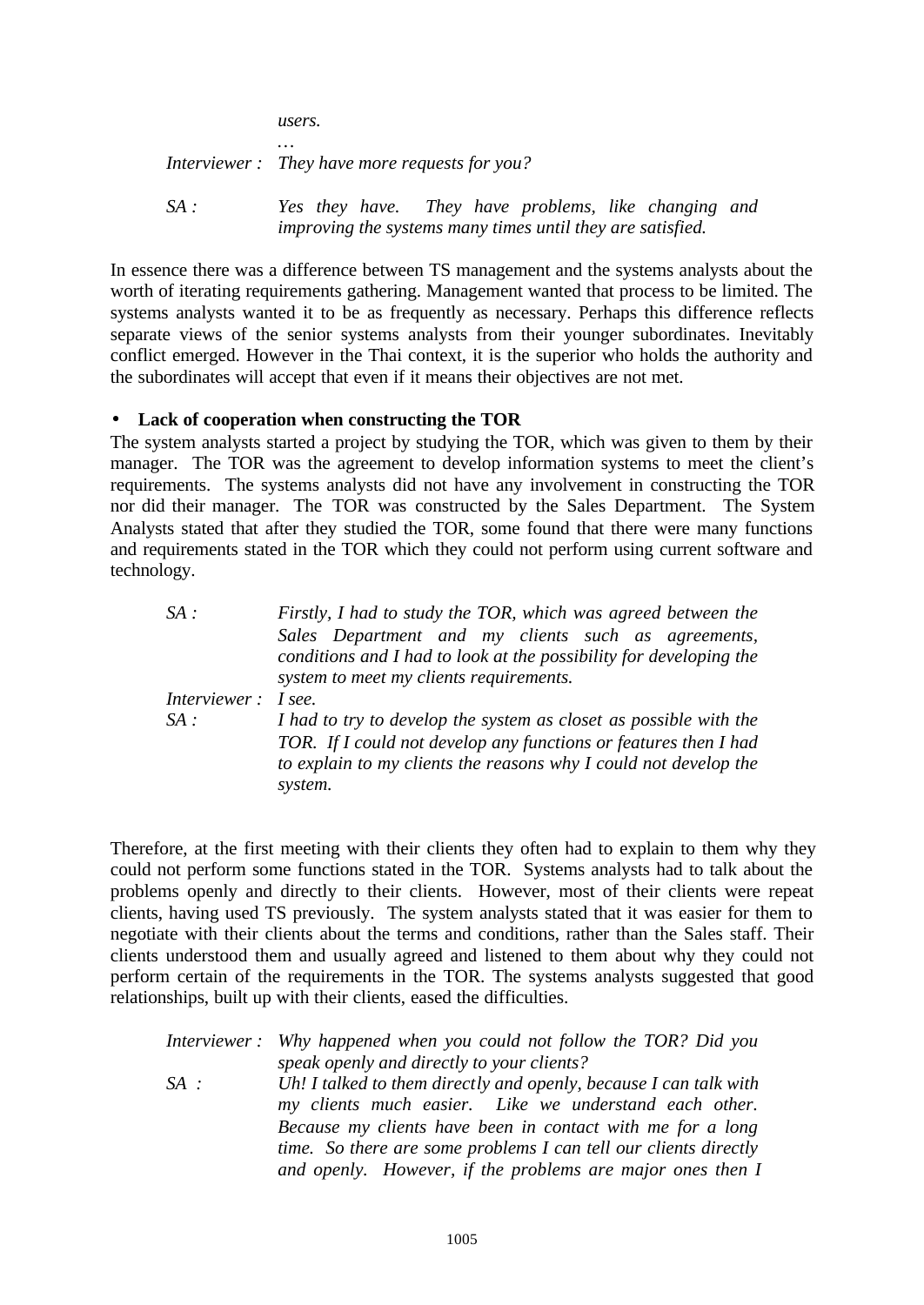*users.*

*…*

*Interviewer : They have more requests for you?*

*SA : Yes they have. They have problems, like changing and improving the systems many times until they are satisfied.*

In essence there was a difference between TS management and the systems analysts about the worth of iterating requirements gathering. Management wanted that process to be limited. The systems analysts wanted it to be as frequently as necessary. Perhaps this difference reflects separate views of the senior systems analysts from their younger subordinates. Inevitably conflict emerged. However in the Thai context, it is the superior who holds the authority and the subordinates will accept that even if it means their objectives are not met.

#### • **Lack of cooperation when constructing the TOR**

The system analysts started a project by studying the TOR, which was given to them by their manager. The TOR was the agreement to develop information systems to meet the client's requirements. The systems analysts did not have any involvement in constructing the TOR nor did their manager. The TOR was constructed by the Sales Department. The System Analysts stated that after they studied the TOR, some found that there were many functions and requirements stated in the TOR which they could not perform using current software and technology.

| SA:                 | Firstly, I had to study the TOR, which was agreed between the                                                                        |
|---------------------|--------------------------------------------------------------------------------------------------------------------------------------|
|                     | Sales Department and my clients such as agreements,                                                                                  |
|                     | conditions and I had to look at the possibility for developing the                                                                   |
|                     | system to meet my clients requirements.                                                                                              |
| Interviewer: I see. |                                                                                                                                      |
| SA:                 | I had to try to develop the system as closet as possible with the                                                                    |
|                     | TOR. If I could not develop any functions or features then I had<br>to explain to my clients the reasons why I could not develop the |
|                     | system.                                                                                                                              |

Therefore, at the first meeting with their clients they often had to explain to them why they could not perform some functions stated in the TOR. Systems analysts had to talk about the problems openly and directly to their clients. However, most of their clients were repeat clients, having used TS previously. The system analysts stated that it was easier for them to negotiate with their clients about the terms and conditions, rather than the Sales staff. Their clients understood them and usually agreed and listened to them about why they could not perform certain of the requirements in the TOR. The systems analysts suggested that good relationships, built up with their clients, eased the difficulties.

|        | Interviewer: Why happened when you could not follow the TOR? Did you |
|--------|----------------------------------------------------------------------|
|        | speak openly and directly to your clients?                           |
| $SA$ : | Uh! I talked to them directly and openly, because I can talk with    |
|        | my clients much easier. Like we understand each other.               |
|        | Because my clients have been in contact with me for a long           |
|        | time. So there are some problems I can tell our clients directly     |
|        | and openly. However, if the problems are major ones then I           |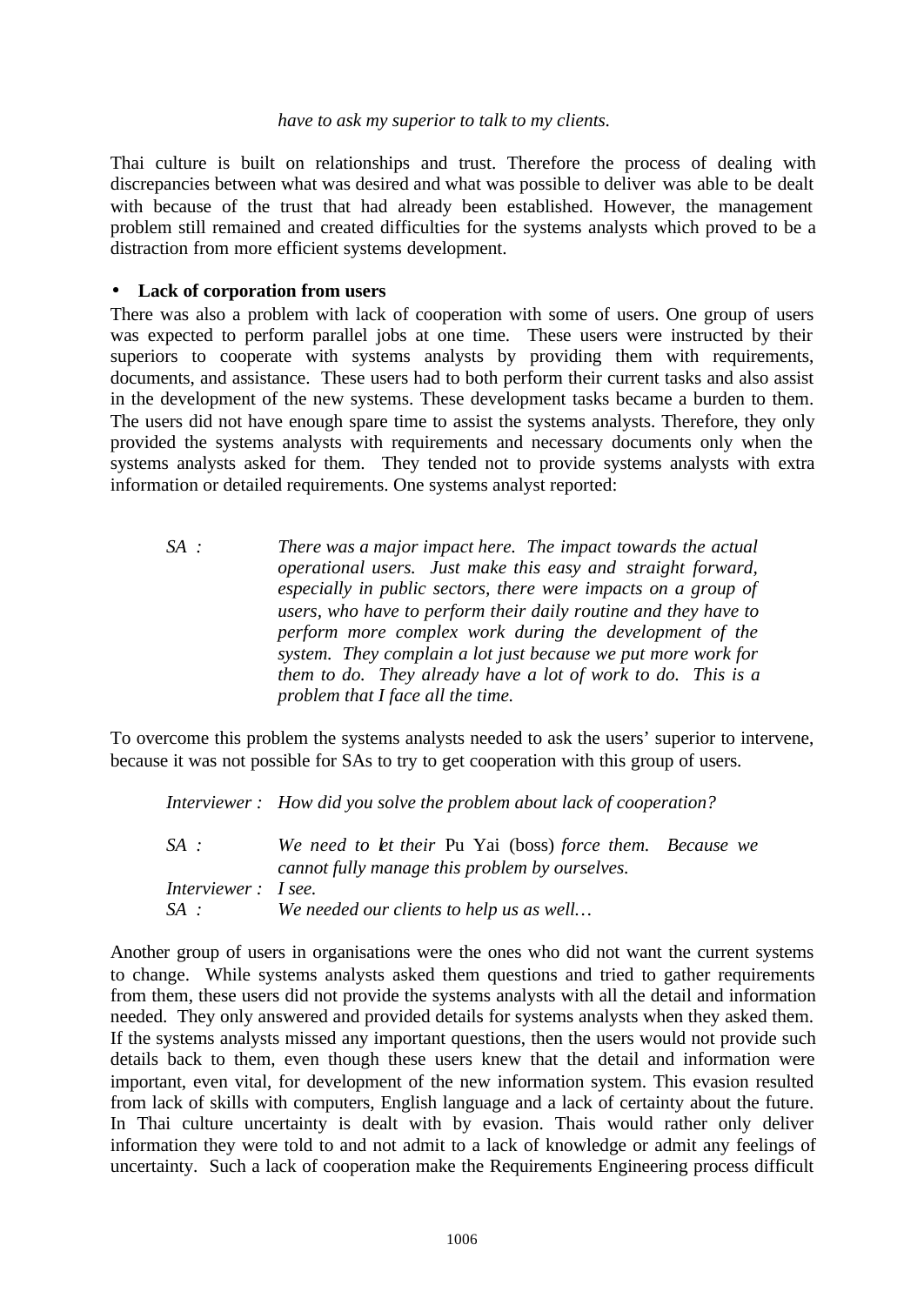#### *have to ask my superior to talk to my clients.*

Thai culture is built on relationships and trust. Therefore the process of dealing with discrepancies between what was desired and what was possible to deliver was able to be dealt with because of the trust that had already been established. However, the management problem still remained and created difficulties for the systems analysts which proved to be a distraction from more efficient systems development.

#### • **Lack of corporation from users**

There was also a problem with lack of cooperation with some of users. One group of users was expected to perform parallel jobs at one time. These users were instructed by their superiors to cooperate with systems analysts by providing them with requirements, documents, and assistance. These users had to both perform their current tasks and also assist in the development of the new systems. These development tasks became a burden to them. The users did not have enough spare time to assist the systems analysts. Therefore, they only provided the systems analysts with requirements and necessary documents only when the systems analysts asked for them. They tended not to provide systems analysts with extra information or detailed requirements. One systems analyst reported:

*SA : There was a major impact here. The impact towards the actual operational users. Just make this easy and straight forward, especially in public sectors, there were impacts on a group of users, who have to perform their daily routine and they have to perform more complex work during the development of the system. They complain a lot just because we put more work for them to do. They already have a lot of work to do. This is a problem that I face all the time.*

To overcome this problem the systems analysts needed to ask the users' superior to intervene, because it was not possible for SAs to try to get cooperation with this group of users.

*Interviewer : How did you solve the problem about lack of cooperation?*

| $SA$ :              | We need to let their Pu Yai (boss) force them. Because we |  |
|---------------------|-----------------------------------------------------------|--|
|                     | cannot fully manage this problem by ourselves.            |  |
| Interviewer: I see. |                                                           |  |
| SA :                | We needed our clients to help us as well                  |  |

Another group of users in organisations were the ones who did not want the current systems to change. While systems analysts asked them questions and tried to gather requirements from them, these users did not provide the systems analysts with all the detail and information needed. They only answered and provided details for systems analysts when they asked them. If the systems analysts missed any important questions, then the users would not provide such details back to them, even though these users knew that the detail and information were important, even vital, for development of the new information system. This evasion resulted from lack of skills with computers, English language and a lack of certainty about the future. In Thai culture uncertainty is dealt with by evasion. Thais would rather only deliver information they were told to and not admit to a lack of knowledge or admit any feelings of uncertainty. Such a lack of cooperation make the Requirements Engineering process difficult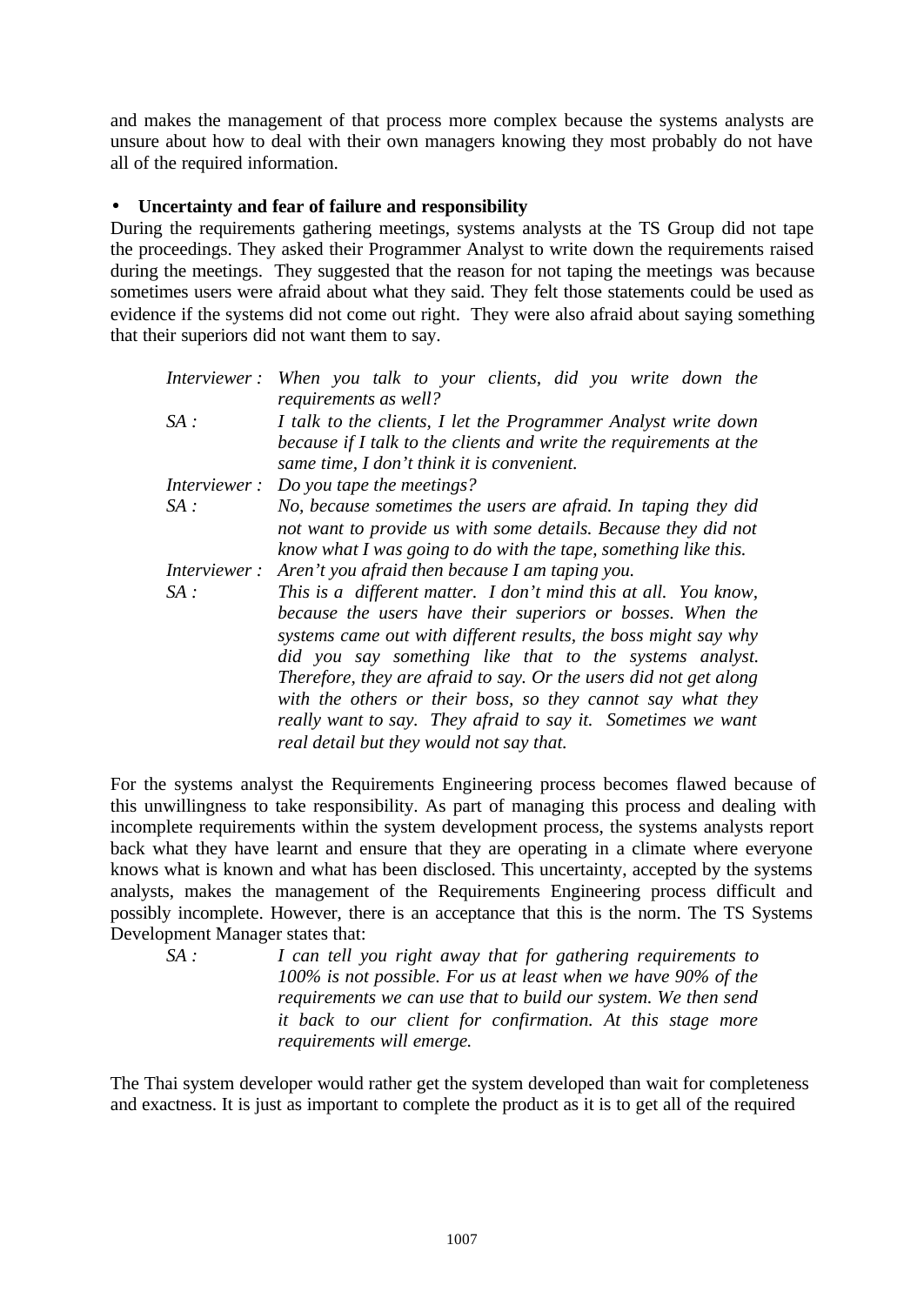and makes the management of that process more complex because the systems analysts are unsure about how to deal with their own managers knowing they most probably do not have all of the required information.

#### • **Uncertainty and fear of failure and responsibility**

During the requirements gathering meetings, systems analysts at the TS Group did not tape the proceedings. They asked their Programmer Analyst to write down the requirements raised during the meetings. They suggested that the reason for not taping the meetings was because sometimes users were afraid about what they said. They felt those statements could be used as evidence if the systems did not come out right. They were also afraid about saying something that their superiors did not want them to say.

| Interviewer:        | When you talk to your clients, did you write down the<br>requirements as well?                                                                                                                                                                                                                                                                                                                                                                                                                              |  |
|---------------------|-------------------------------------------------------------------------------------------------------------------------------------------------------------------------------------------------------------------------------------------------------------------------------------------------------------------------------------------------------------------------------------------------------------------------------------------------------------------------------------------------------------|--|
| SA:                 | I talk to the clients, I let the Programmer Analyst write down<br>because if I talk to the clients and write the requirements at the<br>same time, I don't think it is convenient.                                                                                                                                                                                                                                                                                                                          |  |
| <i>Interviewer:</i> | Do you tape the meetings?                                                                                                                                                                                                                                                                                                                                                                                                                                                                                   |  |
| SA:                 | No, because sometimes the users are afraid. In taping they did<br>not want to provide us with some details. Because they did not<br>know what I was going to do with the tape, something like this.                                                                                                                                                                                                                                                                                                         |  |
| Interviewer:        | Aren't you afraid then because I am taping you.                                                                                                                                                                                                                                                                                                                                                                                                                                                             |  |
| SA:                 | This is a different matter. I don't mind this at all. You know,<br>because the users have their superiors or bosses. When the<br>systems came out with different results, the boss might say why<br>did you say something like that to the systems analyst.<br>Therefore, they are afraid to say. Or the users did not get along<br>with the others or their boss, so they cannot say what they<br>really want to say. They afraid to say it. Sometimes we want<br>real detail but they would not say that. |  |

For the systems analyst the Requirements Engineering process becomes flawed because of this unwillingness to take responsibility. As part of managing this process and dealing with incomplete requirements within the system development process, the systems analysts report back what they have learnt and ensure that they are operating in a climate where everyone knows what is known and what has been disclosed. This uncertainty, accepted by the systems analysts, makes the management of the Requirements Engineering process difficult and possibly incomplete. However, there is an acceptance that this is the norm. The TS Systems Development Manager states that:

*SA : I can tell you right away that for gathering requirements to 100% is not possible. For us at least when we have 90% of the requirements we can use that to build our system. We then send it back to our client for confirmation. At this stage more requirements will emerge.*

The Thai system developer would rather get the system developed than wait for completeness and exactness. It is just as important to complete the product as it is to get all of the required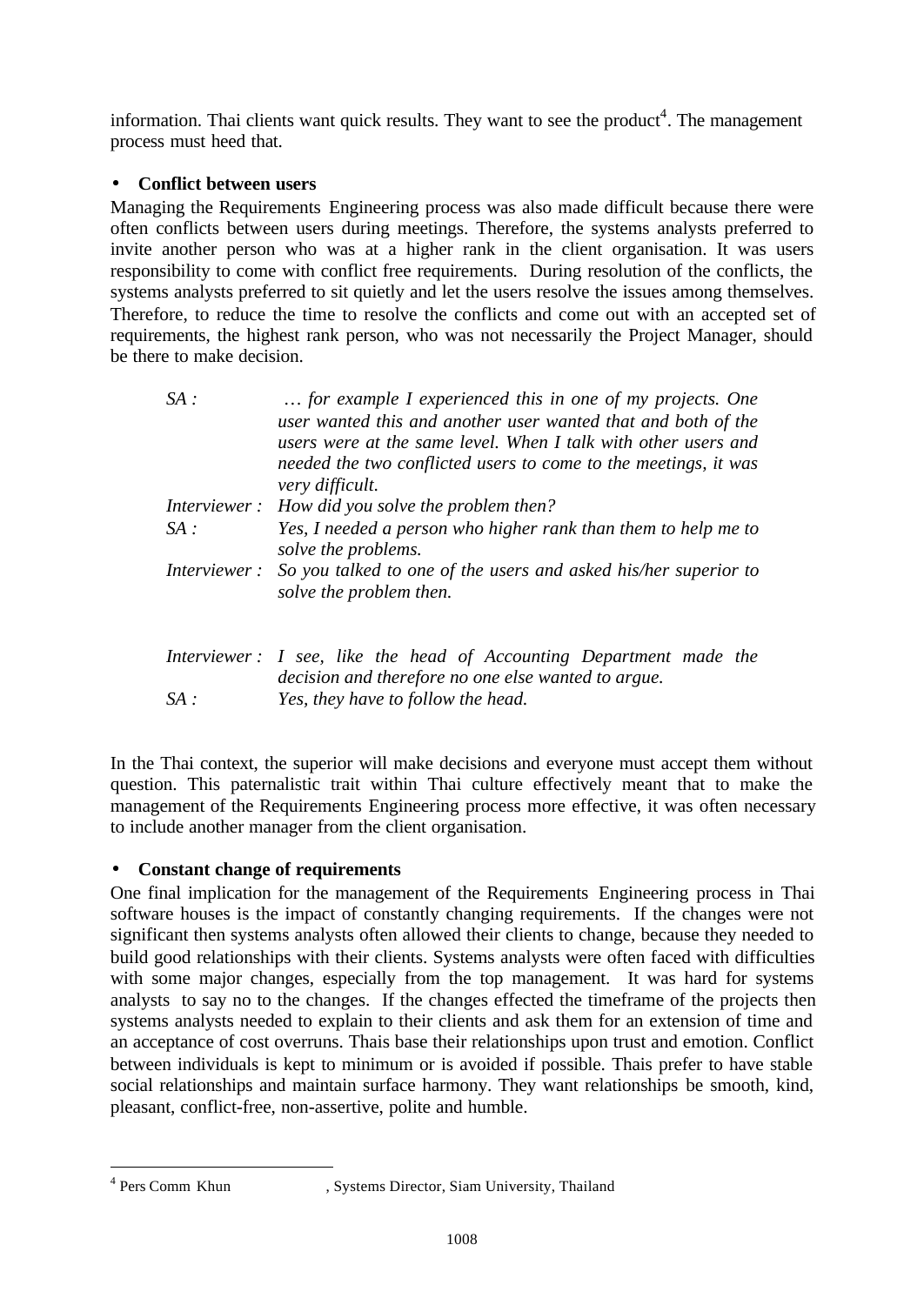information. Thai clients want quick results. They want to see the product<sup>4</sup>. The management process must heed that.

### • **Conflict between users**

Managing the Requirements Engineering process was also made difficult because there were often conflicts between users during meetings. Therefore, the systems analysts preferred to invite another person who was at a higher rank in the client organisation. It was users responsibility to come with conflict free requirements. During resolution of the conflicts, the systems analysts preferred to sit quietly and let the users resolve the issues among themselves. Therefore, to reduce the time to resolve the conflicts and come out with an accepted set of requirements, the highest rank person, who was not necessarily the Project Manager, should be there to make decision.

| SA:                 | for example I experienced this in one of my projects. One<br>user wanted this and another user wanted that and both of the<br>users were at the same level. When I talk with other users and<br>needed the two conflicted users to come to the meetings, it was<br>very difficult. |  |
|---------------------|------------------------------------------------------------------------------------------------------------------------------------------------------------------------------------------------------------------------------------------------------------------------------------|--|
|                     | Interviewer: How did you solve the problem then?                                                                                                                                                                                                                                   |  |
| SA:                 | Yes, I needed a person who higher rank than them to help me to<br>solve the problems.                                                                                                                                                                                              |  |
| <i>Interviewer:</i> | So you talked to one of the users and asked his/her superior to<br>solve the problem then.                                                                                                                                                                                         |  |
|                     | Interviewer: I see, like the head of Accounting Department made the<br>decision and therefore no one else wanted to group                                                                                                                                                          |  |

*decision and therefore no one else wanted to argue. SA : Yes, they have to follow the head.*

In the Thai context, the superior will make decisions and everyone must accept them without question. This paternalistic trait within Thai culture effectively meant that to make the management of the Requirements Engineering process more effective, it was often necessary to include another manager from the client organisation.

## • **Constant change of requirements**

One final implication for the management of the Requirements Engineering process in Thai software houses is the impact of constantly changing requirements. If the changes were not significant then systems analysts often allowed their clients to change, because they needed to build good relationships with their clients. Systems analysts were often faced with difficulties with some major changes, especially from the top management. It was hard for systems analysts to say no to the changes. If the changes effected the timeframe of the projects then systems analysts needed to explain to their clients and ask them for an extension of time and an acceptance of cost overruns. Thais base their relationships upon trust and emotion. Conflict between individuals is kept to minimum or is avoided if possible. Thais prefer to have stable social relationships and maintain surface harmony. They want relationships be smooth, kind, pleasant, conflict-free, non-assertive, polite and humble.

l

 $4$  Pers Comm Khun

<sup>,</sup> Systems Director, Siam University, Thailand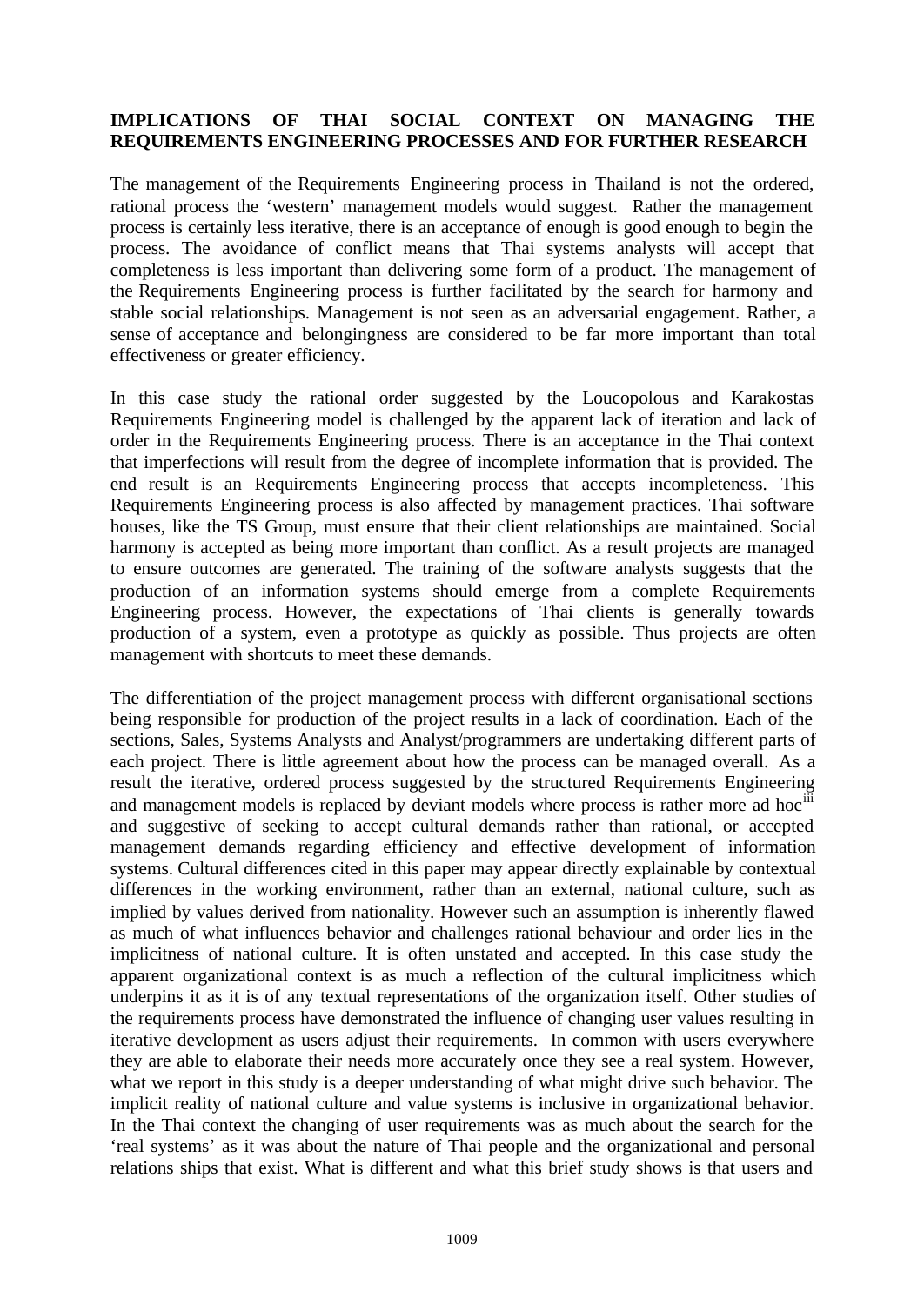#### **IMPLICATIONS OF THAI SOCIAL CONTEXT ON MANAGING THE REQUIREMENTS ENGINEERING PROCESSES AND FOR FURTHER RESEARCH**

The management of the Requirements Engineering process in Thailand is not the ordered, rational process the 'western' management models would suggest. Rather the management process is certainly less iterative, there is an acceptance of enough is good enough to begin the process. The avoidance of conflict means that Thai systems analysts will accept that completeness is less important than delivering some form of a product. The management of the Requirements Engineering process is further facilitated by the search for harmony and stable social relationships. Management is not seen as an adversarial engagement. Rather, a sense of acceptance and belongingness are considered to be far more important than total effectiveness or greater efficiency.

In this case study the rational order suggested by the Loucopolous and Karakostas Requirements Engineering model is challenged by the apparent lack of iteration and lack of order in the Requirements Engineering process. There is an acceptance in the Thai context that imperfections will result from the degree of incomplete information that is provided. The end result is an Requirements Engineering process that accepts incompleteness. This Requirements Engineering process is also affected by management practices. Thai software houses, like the TS Group, must ensure that their client relationships are maintained. Social harmony is accepted as being more important than conflict. As a result projects are managed to ensure outcomes are generated. The training of the software analysts suggests that the production of an information systems should emerge from a complete Requirements Engineering process. However, the expectations of Thai clients is generally towards production of a system, even a prototype as quickly as possible. Thus projects are often management with shortcuts to meet these demands.

The differentiation of the project management process with different organisational sections being responsible for production of the project results in a lack of coordination. Each of the sections, Sales, Systems Analysts and Analyst/programmers are undertaking different parts of each project. There is little agreement about how the process can be managed overall. As a result the iterative, ordered process suggested by the structured Requirements Engineering and management models is replaced by deviant models where process is rather more ad hoc<sup>iii</sup> and suggestive of seeking to accept cultural demands rather than rational, or accepted management demands regarding efficiency and effective development of information systems. Cultural differences cited in this paper may appear directly explainable by contextual differences in the working environment, rather than an external, national culture, such as implied by values derived from nationality. However such an assumption is inherently flawed as much of what influences behavior and challenges rational behaviour and order lies in the implicitness of national culture. It is often unstated and accepted. In this case study the apparent organizational context is as much a reflection of the cultural implicitness which underpins it as it is of any textual representations of the organization itself. Other studies of the requirements process have demonstrated the influence of changing user values resulting in iterative development as users adjust their requirements. In common with users everywhere they are able to elaborate their needs more accurately once they see a real system. However, what we report in this study is a deeper understanding of what might drive such behavior. The implicit reality of national culture and value systems is inclusive in organizational behavior. In the Thai context the changing of user requirements was as much about the search for the 'real systems' as it was about the nature of Thai people and the organizational and personal relations ships that exist. What is different and what this brief study shows is that users and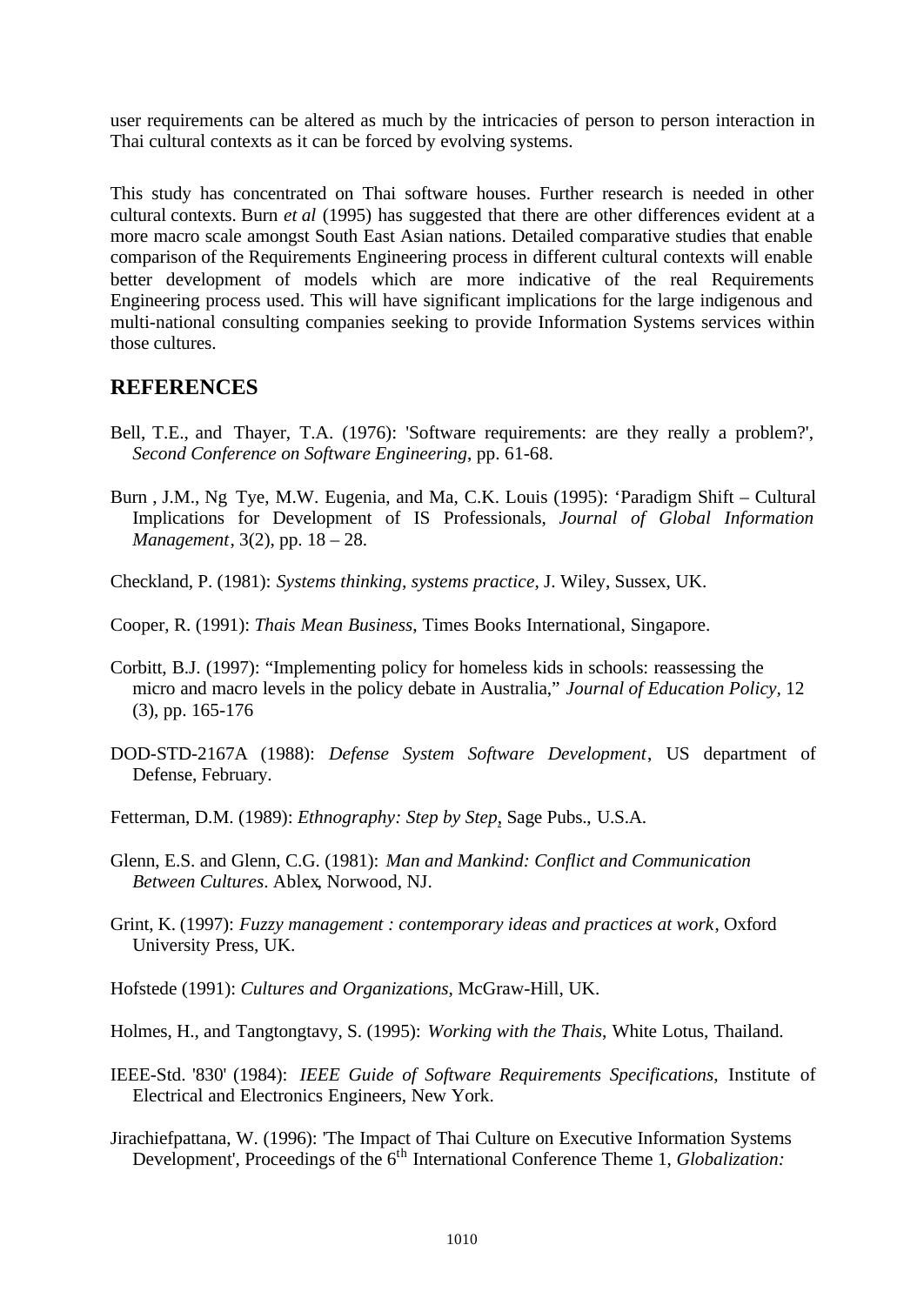user requirements can be altered as much by the intricacies of person to person interaction in Thai cultural contexts as it can be forced by evolving systems.

This study has concentrated on Thai software houses. Further research is needed in other cultural contexts. Burn *et al* (1995) has suggested that there are other differences evident at a more macro scale amongst South East Asian nations. Detailed comparative studies that enable comparison of the Requirements Engineering process in different cultural contexts will enable better development of models which are more indicative of the real Requirements Engineering process used. This will have significant implications for the large indigenous and multi-national consulting companies seeking to provide Information Systems services within those cultures.

### **REFERENCES**

- Bell, T.E., and Thayer, T.A. (1976): 'Software requirements: are they really a problem?', *Second Conference on Software Engineering*, pp. 61-68.
- Burn , J.M., Ng Tye, M.W. Eugenia, and Ma, C.K. Louis (1995): 'Paradigm Shift Cultural Implications for Development of IS Professionals, *Journal of Global Information Management*, 3(2), pp. 18 – 28.
- Checkland, P. (1981): *Systems thinking, systems practice*, J. Wiley, Sussex, UK.
- Cooper, R. (1991): *Thais Mean Business*, Times Books International, Singapore.
- Corbitt, B.J. (1997): "Implementing policy for homeless kids in schools: reassessing the micro and macro levels in the policy debate in Australia," *Journal of Education Policy,* 12 (3), pp. 165-176
- DOD-STD-2167A (1988): *Defense System Software Development*, US department of Defense, February.
- Fetterman, D.M. (1989): *Ethnography: Step by Step*, Sage Pubs., U.S.A.
- Glenn, E.S. and Glenn, C.G. (1981): *Man and Mankind: Conflict and Communication Between Cultures*. Ablex, Norwood, NJ.
- Grint, K. (1997): *Fuzzy management : contemporary ideas and practices at work*, Oxford University Press, UK.
- Hofstede (1991): *Cultures and Organizations*, McGraw-Hill, UK.
- Holmes, H., and Tangtongtavy, S. (1995): *Working with the Thais*, White Lotus, Thailand.
- IEEE-Std. '830' (1984): *IEEE Guide of Software Requirements Specifications*, Institute of Electrical and Electronics Engineers, New York.
- Jirachiefpattana, W. (1996): 'The Impact of Thai Culture on Executive Information Systems Development', Proceedings of the 6<sup>th</sup> International Conference Theme 1, *Globalization:*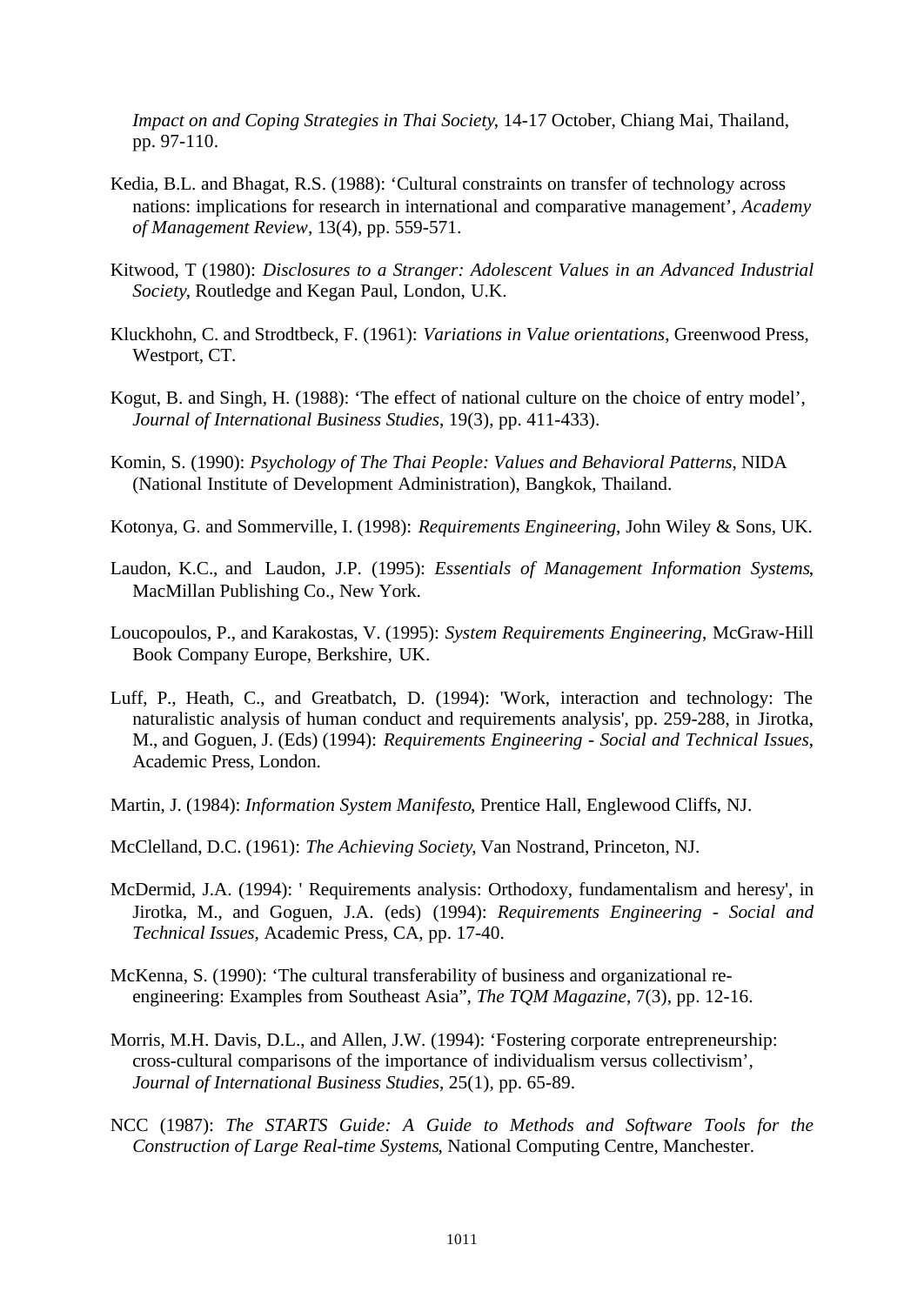*Impact on and Coping Strategies in Thai Society*, 14-17 October, Chiang Mai, Thailand, pp. 97-110.

- Kedia, B.L. and Bhagat, R.S. (1988): 'Cultural constraints on transfer of technology across nations: implications for research in international and comparative management', *Academy of Management Review*, 13(4), pp. 559-571.
- Kitwood, T (1980): *Disclosures to a Stranger: Adolescent Values in an Advanced Industrial Society*, Routledge and Kegan Paul, London, U.K.
- Kluckhohn, C. and Strodtbeck, F. (1961): *Variations in Value orientations*, Greenwood Press, Westport, CT.
- Kogut, B. and Singh, H. (1988): 'The effect of national culture on the choice of entry model', *Journal of International Business Studies*, 19(3), pp. 411-433).
- Komin, S. (1990): *Psychology of The Thai People: Values and Behavioral Patterns*, NIDA (National Institute of Development Administration), Bangkok, Thailand.
- Kotonya, G. and Sommerville, I. (1998): *Requirements Engineering*, John Wiley & Sons, UK.
- Laudon, K.C., and Laudon, J.P. (1995): *Essentials of Management Information Systems*, MacMillan Publishing Co., New York.
- Loucopoulos, P., and Karakostas, V. (1995): *System Requirements Engineering*, McGraw-Hill Book Company Europe, Berkshire, UK.
- Luff, P., Heath, C., and Greatbatch, D. (1994): 'Work, interaction and technology: The naturalistic analysis of human conduct and requirements analysis', pp. 259-288, in Jirotka, M., and Goguen, J. (Eds) (1994): *Requirements Engineering - Social and Technical Issues*, Academic Press, London.
- Martin, J. (1984): *Information System Manifesto*, Prentice Hall, Englewood Cliffs, NJ.
- McClelland, D.C. (1961): *The Achieving Society*, Van Nostrand, Princeton, NJ.
- McDermid, J.A. (1994): ' Requirements analysis: Orthodoxy, fundamentalism and heresy', in Jirotka, M., and Goguen, J.A. (eds) (1994): *Requirements Engineering - Social and Technical Issues*, Academic Press, CA, pp. 17-40.
- McKenna, S. (1990): 'The cultural transferability of business and organizational reengineering: Examples from Southeast Asia", *The TQM Magazine*, 7(3), pp. 12-16.
- Morris, M.H. Davis, D.L., and Allen, J.W. (1994): 'Fostering corporate entrepreneurship: cross-cultural comparisons of the importance of individualism versus collectivism', *Journal of International Business Studies*, 25(1), pp. 65-89.
- NCC (1987): *The STARTS Guide: A Guide to Methods and Software Tools for the Construction of Large Real-time Systems*, National Computing Centre, Manchester.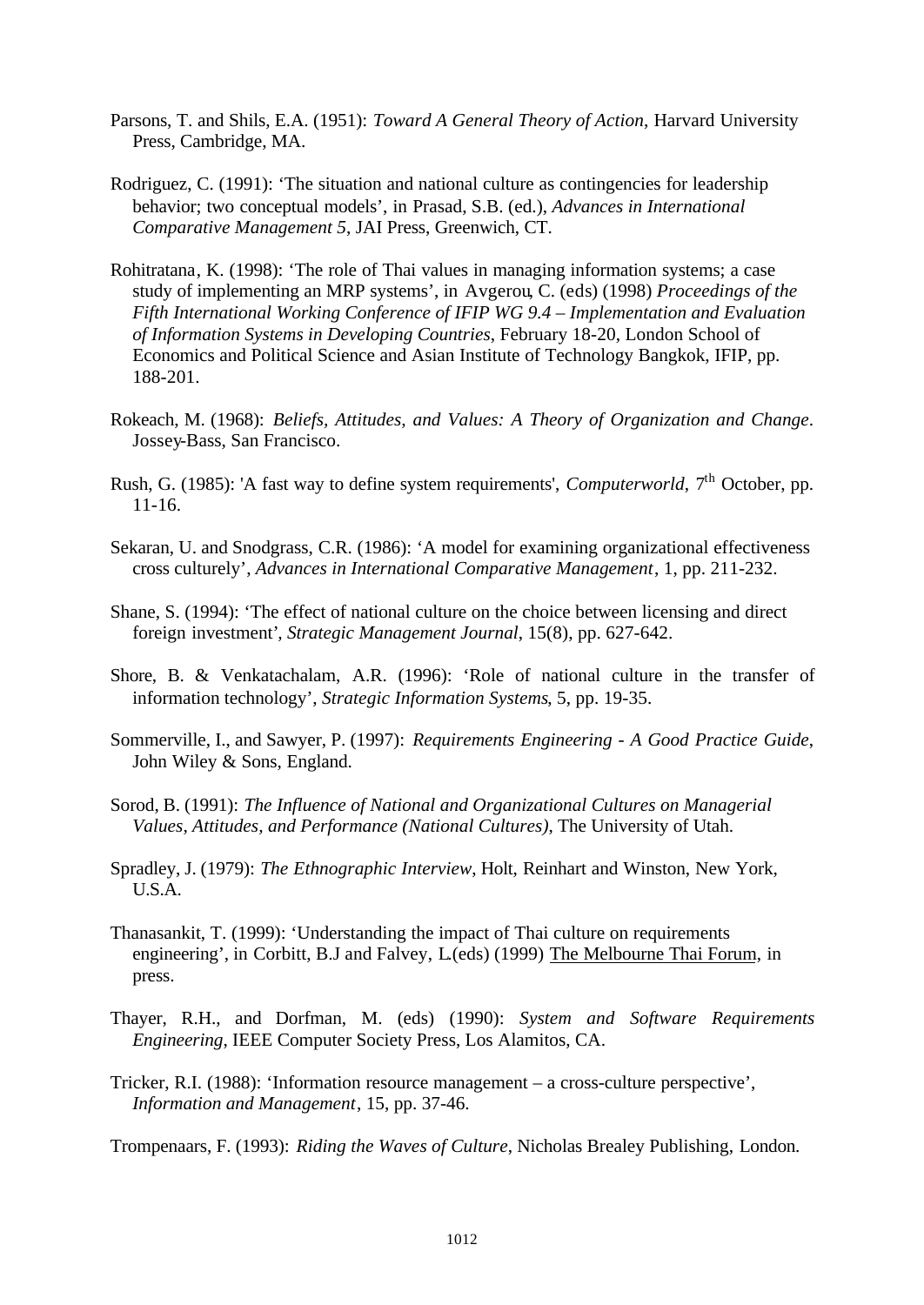- Parsons, T. and Shils, E.A. (1951): *Toward A General Theory of Action*, Harvard University Press, Cambridge, MA.
- Rodriguez, C. (1991): 'The situation and national culture as contingencies for leadership behavior; two conceptual models', in Prasad, S.B. (ed.), *Advances in International Comparative Management 5*, JAI Press, Greenwich, CT.
- Rohitratana, K. (1998): 'The role of Thai values in managing information systems; a case study of implementing an MRP systems', in Avgerou, C. (eds) (1998) *Proceedings of the Fifth International Working Conference of IFIP WG 9.4 – Implementation and Evaluation of Information Systems in Developing Countries*, February 18-20, London School of Economics and Political Science and Asian Institute of Technology Bangkok, IFIP, pp. 188-201.
- Rokeach, M. (1968): *Beliefs, Attitudes, and Values: A Theory of Organization and Change*. Jossey-Bass, San Francisco.
- Rush, G. (1985): 'A fast way to define system requirements', *Computerworld*, 7<sup>th</sup> October. pp. 11-16.
- Sekaran, U. and Snodgrass, C.R. (1986): 'A model for examining organizational effectiveness cross culturely', *Advances in International Comparative Management*, 1, pp. 211-232.
- Shane, S. (1994): 'The effect of national culture on the choice between licensing and direct foreign investment'*, Strategic Management Journal*, 15(8), pp. 627-642.
- Shore, B. & Venkatachalam, A.R. (1996): 'Role of national culture in the transfer of information technology', *Strategic Information Systems*, 5, pp. 19-35.
- Sommerville, I., and Sawyer, P. (1997): *Requirements Engineering A Good Practice Guide*, John Wiley & Sons, England.
- Sorod, B. (1991): *The Influence of National and Organizational Cultures on Managerial Values, Attitudes, and Performance (National Cultures)*, The University of Utah.
- Spradley, J. (1979): *The Ethnographic Interview*, Holt, Reinhart and Winston, New York, U.S.A.
- Thanasankit, T. (1999): 'Understanding the impact of Thai culture on requirements engineering', in Corbitt, B.J and Falvey, L(eds) (1999) The Melbourne Thai Forum, in press.
- Thayer, R.H., and Dorfman, M. (eds) (1990): *System and Software Requirements Engineering*, IEEE Computer Society Press, Los Alamitos, CA.
- Tricker, R.I. (1988): 'Information resource management a cross-culture perspective', *Information and Management*, 15, pp. 37-46.

Trompenaars, F. (1993): *Riding the Waves of Culture*, Nicholas Brealey Publishing, London.